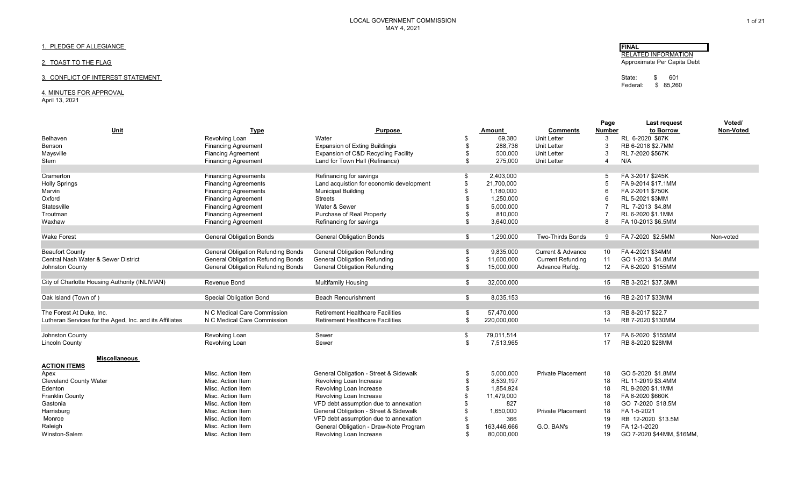## 1. PLEDGE OF ALLEGIANCE

## 2. TOAST TO THE FLAG

## 3. CONFLICT OF INTEREST STATEMENT STATEMENT STATEMENT STATE STATE STATE STATEMENT STATEMENT STATEMENT STATEMENT STATEMENT STATEMENT STATEMENT STATEMENT STATEMENT STATEMENT STATEMENT STATEMENT STATEMENT STATEMENT STATEMENT

## 4. MINUTES FOR APPROVAL

April 13, 2021

|                                                         |                                           |                                          |                   |                              | Page          | Last request              | Voted/    |
|---------------------------------------------------------|-------------------------------------------|------------------------------------------|-------------------|------------------------------|---------------|---------------------------|-----------|
| <u>Unit</u>                                             | <b>Type</b>                               | <b>Purpose</b>                           | Amount            | <b>Comments</b>              | <b>Number</b> | to Borrow                 | Non-Voted |
| <b>Belhaven</b>                                         | Revolving Loan                            | Water                                    | \$<br>69,380      | <b>Unit Letter</b>           | 3             | RL 6-2020 \$87K           |           |
| Benson                                                  | <b>Financing Agreement</b>                | <b>Expansion of Exting Buildingis</b>    | \$<br>288,736     | <b>Unit Letter</b>           |               | RB 6-2018 \$2.7MM         |           |
| Maysville                                               | <b>Fiancing Agreement</b>                 | Expansion of C&D Recycling Facility      | \$<br>500,000     | <b>Unit Letter</b>           |               | RL 7-2020 \$567K          |           |
| Stem                                                    | <b>Financing Agreement</b>                | Land for Town Hall (Refinance)           | \$<br>275,000     | <b>Unit Letter</b>           | 4             | N/A                       |           |
|                                                         |                                           |                                          |                   |                              |               |                           |           |
| Cramerton                                               | <b>Financing Agreements</b>               | Refinancing for savings                  | \$<br>2,403,000   |                              |               | FA 3-2017 \$245K          |           |
| <b>Holly Springs</b>                                    | <b>Financing Agreements</b>               | Land acquistion for economic development | \$<br>21,700,000  |                              |               | FA 9-2014 \$17.1MM        |           |
| Marvin                                                  | <b>Financing Agreements</b>               | <b>Municipal Building</b>                | 1,180,000         |                              |               | FA 2-2011 \$750K          |           |
| Oxford                                                  | <b>Financing Agreement</b>                | <b>Streets</b>                           | 1,250,000         |                              |               | RL 5-2021 \$3MM           |           |
| Statesville                                             | <b>Financing Agreement</b>                | Water & Sewer                            | 5,000,000         |                              |               | RL 7-2013 \$4.8M          |           |
| Troutman                                                | <b>Financing Agreement</b>                | Purchase of Real Property                | \$<br>810,000     |                              |               | RL 6-2020 \$1.1MM         |           |
| Waxhaw                                                  | <b>Financing Agreement</b>                | Refinancing for savings                  | \$<br>3,640,000   |                              |               | FA 10-2013 \$6.5MM        |           |
|                                                         |                                           |                                          |                   |                              |               |                           |           |
| <b>Wake Forest</b>                                      | <b>General Obligation Bonds</b>           | <b>General Obligation Bonds</b>          | \$<br>1,290,000   | <b>Two-Thirds Bonds</b>      | 9             | FA 7-2020 \$2.5MM         | Non-voted |
|                                                         |                                           |                                          |                   |                              |               |                           |           |
| <b>Beaufort County</b>                                  | <b>General Obligation Refunding Bonds</b> | <b>General Obligation Refunding</b>      | \$<br>9,835,000   | <b>Current &amp; Advance</b> | 10            | FA 4-2021 \$34MM          |           |
| Central Nash Water & Sewer District                     | <b>General Obligation Refunding Bonds</b> | <b>General Obligation Refunding</b>      | \$<br>11,600,000  | <b>Current Refunding</b>     | 11            | GO 1-2013 \$4.8MM         |           |
| Johnston County                                         | <b>General Obligation Refunding Bonds</b> | <b>General Obligation Refunding</b>      | \$<br>15,000,000  | Advance Refdg.               | 12            | FA 6-2020 \$155MM         |           |
|                                                         |                                           |                                          |                   |                              |               |                           |           |
| City of Charlotte Housing Authority (INLIVIAN)          | Revenue Bond                              | <b>Multifamily Housing</b>               | \$<br>32,000,000  |                              | 15            | RB 3-2021 \$37.3MM        |           |
|                                                         |                                           |                                          |                   |                              |               |                           |           |
| Oak Island (Town of)                                    | <b>Special Obligation Bond</b>            | <b>Beach Renourishment</b>               | \$<br>8,035,153   |                              | 16            | RB 2-2017 \$33MM          |           |
|                                                         |                                           |                                          |                   |                              |               |                           |           |
| The Forest At Duke, Inc.                                | N C Medical Care Commission               | <b>Retirement Healthcare Facilities</b>  | \$<br>57,470,000  |                              | 13            | RB 8-2017 \$22.7          |           |
| Lutheran Services for the Aged, Inc. and its Affiliates | N C Medical Care Commission               | <b>Retirement Healthcare Facilities</b>  | \$<br>220,000,000 |                              | 14            | RB 7-2020 \$130MM         |           |
| Johnston County                                         | Revolving Loan                            | Sewer                                    | \$<br>79,011,514  |                              | 17            | FA 6-2020 \$155MM         |           |
| <b>Lincoln County</b>                                   | Revolving Loan                            | Sewer                                    | \$<br>7,513,965   |                              | 17            | RB 8-2020 \$28MM          |           |
|                                                         |                                           |                                          |                   |                              |               |                           |           |
| <b>Miscellaneous</b>                                    |                                           |                                          |                   |                              |               |                           |           |
| <b>ACTION ITEMS</b>                                     |                                           |                                          |                   |                              |               |                           |           |
| Apex                                                    | Misc. Action Item                         | General Obligation - Street & Sidewalk   | \$<br>5,000,000   | <b>Private Placement</b>     | 18            | GO 5-2020 \$1.8MM         |           |
| <b>Cleveland County Water</b>                           | Misc. Action Item                         | Revolving Loan Increase                  | \$<br>8,539,197   |                              | 18            | RL 11-2019 \$3.4MM        |           |
| Edenton                                                 | Misc. Action Item                         | Revolving Loan Increase                  | \$<br>1,854,924   |                              | 18            | RL 9-2020 \$1.1MM         |           |
| <b>Franklin County</b>                                  | Misc. Action Item                         | Revolving Loan Increase                  | 11,479,000        |                              | 18            | FA 8-2020 \$660K          |           |
| Gastonia                                                | Misc. Action Item                         | VFD debt assumption due to annexation    | 827               |                              | 18            | GO 7-2020 \$18.5M         |           |
| Harrisburg                                              | Misc. Action Item                         | General Obligation - Street & Sidewalk   | 1,650,000         | <b>Private Placement</b>     | 18            | FA 1-5-2021               |           |
|                                                         |                                           |                                          | 366               |                              |               | RB 12-2020 \$13.5M        |           |
| Monroe                                                  | Misc. Action Item                         | VFD debt assumption due to annexation    |                   |                              | 19            |                           |           |
| Raleigh                                                 | Misc. Action Item                         | General Obligation - Draw-Note Program   | 163,446,666       | G.O. BAN's                   | 19            | FA 12-1-2020              |           |
| Winston-Salem                                           | Misc. Action Item                         | Revolving Loan Increase                  | \$<br>80.000.000  |                              | 19            | GO 7-2020 \$44MM, \$16MM, |           |

1 of 21

**FINAL** RELATED INFORMATION Approximate Per Capita Debt

Federal: \$ 85,260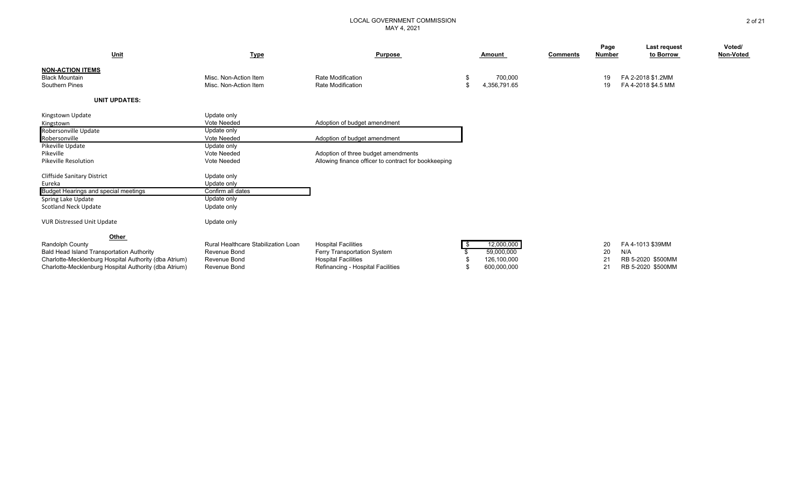| <u>Unit</u>                                           | <b>Type</b>                         | <b>Purpose</b>                                       |      | Amount       | <b>Comments</b> | Page<br>Number | Last request<br>to Borrow | Voted/<br>Non-Voted |
|-------------------------------------------------------|-------------------------------------|------------------------------------------------------|------|--------------|-----------------|----------------|---------------------------|---------------------|
| <b>NON-ACTION ITEMS</b><br><b>Black Mountain</b>      | Misc. Non-Action Item               | <b>Rate Modification</b>                             |      | 700,000      |                 | 19             | FA 2-2018 \$1.2MM         |                     |
| Southern Pines                                        | Misc. Non-Action Item               | Rate Modification                                    |      | 4,356,791.65 |                 | 19             | FA 4-2018 \$4.5 MM        |                     |
| <b>UNIT UPDATES:</b>                                  |                                     |                                                      |      |              |                 |                |                           |                     |
| Kingstown Update<br>Kingstown                         | Update only<br>Vote Needed          | Adoption of budget amendment                         |      |              |                 |                |                           |                     |
| Robersonville Update                                  | Update only                         |                                                      |      |              |                 |                |                           |                     |
| Robersonville                                         | Vote Needed                         | Adoption of budget amendment                         |      |              |                 |                |                           |                     |
| Pikeville Update                                      | Update only                         |                                                      |      |              |                 |                |                           |                     |
| Pikeville                                             | Vote Needed                         | Adoption of three budget amendments                  |      |              |                 |                |                           |                     |
| <b>Pikeville Resolution</b>                           | Vote Needed                         | Allowing finance officer to contract for bookkeeping |      |              |                 |                |                           |                     |
| <b>Cliffside Sanitary District</b>                    | Update only                         |                                                      |      |              |                 |                |                           |                     |
| Eureka                                                | Update only                         |                                                      |      |              |                 |                |                           |                     |
| Budget Hearings and special meetings                  | Confirm all dates                   |                                                      |      |              |                 |                |                           |                     |
| Spring Lake Update                                    | Update only                         |                                                      |      |              |                 |                |                           |                     |
| <b>Scotland Neck Update</b>                           | Update only                         |                                                      |      |              |                 |                |                           |                     |
| <b>VUR Distressed Unit Update</b>                     | Update only                         |                                                      |      |              |                 |                |                           |                     |
| Other                                                 |                                     |                                                      |      |              |                 |                |                           |                     |
| <b>Randolph County</b>                                | Rural Healthcare Stabilization Loan | <b>Hospital Facilities</b>                           | - \$ | 12,000,000   |                 | 20             | FA 4-1013 \$39MM          |                     |
| Bald Head Island Transportation Authority             | Revenue Bond                        | Ferry Transportation System                          |      | 59,000,000   |                 | 20             | N/A                       |                     |
| Charlotte-Mecklenburg Hospital Authority (dba Atrium) | Revenue Bond                        | <b>Hospital Facilities</b>                           |      | 126,100,000  |                 | 2 <sup>1</sup> | RB 5-2020 \$500MM         |                     |
| Charlotte-Mecklenburg Hospital Authority (dba Atrium) | Revenue Bond                        | Refinancing - Hospital Facilities                    |      | 600,000,000  |                 | 21             | RB 5-2020 \$500MM         |                     |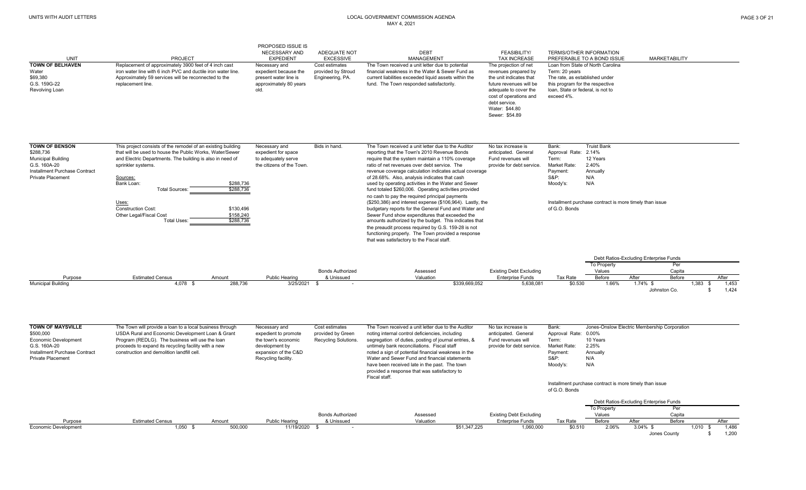|                                                                                                                                                   |                                                                                                                                                                                                                                                                                                                                                                                                                        | PROPOSED ISSUE IS<br>NECESSARY AND                                                                                            | ADEQUATE NOT                                                | <b>DEBT</b>                                                                                                                                                                                                                                                                                                                                                                                                                                                                                                                                                                                                                                                                                                                                                                                                                                                                    | <b>FEASIBILITY/</b>                                                                                                                                                                                         | <b>TERMS/OTHER INFORMATION</b>                                                                                                         |                                                                                                                                       |                                               |                                       |
|---------------------------------------------------------------------------------------------------------------------------------------------------|------------------------------------------------------------------------------------------------------------------------------------------------------------------------------------------------------------------------------------------------------------------------------------------------------------------------------------------------------------------------------------------------------------------------|-------------------------------------------------------------------------------------------------------------------------------|-------------------------------------------------------------|--------------------------------------------------------------------------------------------------------------------------------------------------------------------------------------------------------------------------------------------------------------------------------------------------------------------------------------------------------------------------------------------------------------------------------------------------------------------------------------------------------------------------------------------------------------------------------------------------------------------------------------------------------------------------------------------------------------------------------------------------------------------------------------------------------------------------------------------------------------------------------|-------------------------------------------------------------------------------------------------------------------------------------------------------------------------------------------------------------|----------------------------------------------------------------------------------------------------------------------------------------|---------------------------------------------------------------------------------------------------------------------------------------|-----------------------------------------------|---------------------------------------|
| UNIT                                                                                                                                              | <b>PROJECT</b>                                                                                                                                                                                                                                                                                                                                                                                                         | <b>EXPEDIENT</b>                                                                                                              | <b>EXCESSIVE</b>                                            | <b>MANAGEMENT</b>                                                                                                                                                                                                                                                                                                                                                                                                                                                                                                                                                                                                                                                                                                                                                                                                                                                              | <b>TAX INCREASE</b>                                                                                                                                                                                         |                                                                                                                                        | PREFERABLE TO A BOND ISSUE                                                                                                            | <b>MARKETABILITY</b>                          |                                       |
| <b>TOWN OF BELHAVEN</b><br>Water<br>\$69,380<br>G.S. 159G-22<br>Revolving Loan                                                                    | Replacement of approximately 3900 feet of 4 inch cast<br>iron water line with 6 inch PVC and ductile iron water line.<br>Approximately 59 services will be reconnected to the<br>replacement line.                                                                                                                                                                                                                     | Necessary and<br>expedient because the<br>present water line is<br>approximately 80 years<br>old.                             | Cost estimates<br>provided by Stroud<br>Engineering, PA.    | The Town received a unit letter due to potential<br>financial weakness in the Water & Sewer Fund as<br>current liabilities exceeded liquid assets within the<br>fund. The Town responded satisfactorily.                                                                                                                                                                                                                                                                                                                                                                                                                                                                                                                                                                                                                                                                       | The projection of net<br>revenues prepared by<br>the unit indicates that<br>future revenues will be<br>adequate to cover the<br>cost of operations and<br>debt service.<br>Water: \$44.80<br>Sewer: \$54.89 | Term: 20 years<br>The rate, as established under<br>this program for the respective<br>loan, State or federal, is not to<br>exceed 4%. | Loan from State of North Carolina                                                                                                     |                                               |                                       |
| <b>TOWN OF BENSON</b><br>\$288.736<br><b>Municipal Building</b><br>G.S. 160A-20<br>Installment Purchase Contract<br><b>Private Placement</b>      | This project consists of the remodel of an existing building<br>that will be used to house the Public Works, Water/Sewer<br>and Electric Departments. The building is also in need of<br>sprinkler systems.<br>Sources:<br>Bank Loan:<br>\$288,736<br><b>Total Sources:</b><br>\$288,736<br>Uses:<br><b>Construction Cost:</b><br>\$130,496<br>Other Legal/Fiscal Cost<br>\$158,240<br><b>Total Uses:</b><br>\$288,736 | Necessary and<br>expedient for space<br>to adequately serve<br>the citizens of the Town.                                      | Bids in hand.                                               | The Town received a unit letter due to the Auditor<br>reporting that the Town's 2010 Revenue Bonds<br>require that the system maintain a 110% coverage<br>ratio of net revenues over debt service. The<br>revenue coverage calculation indicates actual coverage<br>of 28.68%. Also, analysis indicates that cash<br>used by operating activities in the Water and Sewer<br>fund totaled \$260,006. Operating activities provided<br>no cash to pay the required principal payments<br>(\$250,386) and interest expense (\$106,964). Lastly, the<br>budgetary reports for the General Fund and Water and<br>Sewer Fund show expenditures that exceeded the<br>amounts authorized by the budget. This indicates that<br>the preaudit process required by G.S. 159-28 is not<br>functioning properly. The Town provided a response<br>that was satisfactory to the Fiscal staff. | No tax increase is<br>anticipated. General<br>Fund revenues will<br>provide for debt service.                                                                                                               | Bank:<br>Approval Rate:<br>Term:<br>Market Rate:<br>Payment:<br><b>S&amp;P:</b><br>Moody's:<br>of G.O. Bonds                           | <b>Truist Bank</b><br>2.14%<br>12 Years<br>2.40%<br>Annually<br>N/A<br>N/A<br>Installment purchase contract is more timely than issue |                                               |                                       |
|                                                                                                                                                   |                                                                                                                                                                                                                                                                                                                                                                                                                        |                                                                                                                               |                                                             |                                                                                                                                                                                                                                                                                                                                                                                                                                                                                                                                                                                                                                                                                                                                                                                                                                                                                |                                                                                                                                                                                                             |                                                                                                                                        | To Property                                                                                                                           | Debt Ratios-Excluding Enterprise Funds<br>Per |                                       |
| Purpose                                                                                                                                           | <b>Estimated Census</b><br>Amount                                                                                                                                                                                                                                                                                                                                                                                      | <b>Public Hearing</b>                                                                                                         | <b>Bonds Authorized</b><br>& Unissued                       | Assessed<br>Valuation                                                                                                                                                                                                                                                                                                                                                                                                                                                                                                                                                                                                                                                                                                                                                                                                                                                          | <b>Existing Debt Excluding</b><br><b>Enterprise Funds</b>                                                                                                                                                   | Tax Rate                                                                                                                               | Values<br>Before                                                                                                                      | Capita<br>After<br>Before                     | After                                 |
| <b>Municipal Building</b>                                                                                                                         | 4,078 \$<br>288,736                                                                                                                                                                                                                                                                                                                                                                                                    | 3/25/2021                                                                                                                     |                                                             | \$339.669.052                                                                                                                                                                                                                                                                                                                                                                                                                                                                                                                                                                                                                                                                                                                                                                                                                                                                  | 5.638.081                                                                                                                                                                                                   | \$0.530                                                                                                                                | 1.66%                                                                                                                                 | $1.74\%$ \$<br>Johnston Co.                   | 1,383<br>1.453<br>- \$<br>1,424<br>-S |
| <b>TOWN OF MAYSVILLE</b><br>\$500,000<br><b>Economic Development</b><br>G.S. 160A-20<br>Installment Purchase Contract<br><b>Private Placement</b> | The Town will provide a loan to a local business through<br>USDA Rural and Economic Development Loan & Grant<br>Program (REDLG). The business will use the loan<br>proceeds to expand its recycling facility with a new<br>construction and demolition landfill cell.                                                                                                                                                  | Necessary and<br>expedient to promote<br>the town's economic<br>development by<br>expansion of the C&D<br>Recycling facility. | Cost estimates<br>provided by Green<br>Recycling Solutions. | The Town received a unit letter due to the Auditor<br>noting internal control deficiencies, including<br>segregation of duties, posting of journal entries, &<br>untimely bank reconciliations. Fiscal staff<br>noted a sign of potential financial weakness in the<br>Water and Sewer Fund and financial statements<br>have been received late in the past. The town<br>provided a response that was satisfactory to<br>Fiscal staff.                                                                                                                                                                                                                                                                                                                                                                                                                                         | No tax increase is<br>anticipated. General<br>Fund revenues will<br>provide for debt service.                                                                                                               | Bank:<br>Approval Rate:<br>Term:<br>Market Rate:<br>Payment:<br><b>S&amp;P:</b><br>Moody's:                                            | $0.00\%$<br>10 Years<br>2.25%<br>Annually<br>N/A<br>N/A<br>Installment purchase contract is more timely than issue                    | Jones-Onslow Electric Membership Corporation  |                                       |
|                                                                                                                                                   |                                                                                                                                                                                                                                                                                                                                                                                                                        |                                                                                                                               |                                                             |                                                                                                                                                                                                                                                                                                                                                                                                                                                                                                                                                                                                                                                                                                                                                                                                                                                                                |                                                                                                                                                                                                             | of G.O. Bonds                                                                                                                          |                                                                                                                                       | Debt Ratios-Excluding Enterprise Funds        |                                       |
|                                                                                                                                                   |                                                                                                                                                                                                                                                                                                                                                                                                                        |                                                                                                                               | <b>Bonds Authorized</b>                                     | Assessed                                                                                                                                                                                                                                                                                                                                                                                                                                                                                                                                                                                                                                                                                                                                                                                                                                                                       | <b>Existing Debt Excluding</b>                                                                                                                                                                              |                                                                                                                                        | To Property<br>Values                                                                                                                 | Per<br>Capita                                 |                                       |
| Purpose                                                                                                                                           | <b>Estimated Census</b><br>Amount                                                                                                                                                                                                                                                                                                                                                                                      | <b>Public Hearing</b>                                                                                                         | & Unissued                                                  | Valuation                                                                                                                                                                                                                                                                                                                                                                                                                                                                                                                                                                                                                                                                                                                                                                                                                                                                      | <b>Enterprise Funds</b>                                                                                                                                                                                     | Tax Rate                                                                                                                               | Before                                                                                                                                | After<br>Before                               | After                                 |
| Economic Development                                                                                                                              | $1.050$ \$<br>500,000                                                                                                                                                                                                                                                                                                                                                                                                  | 11/19/2020 \$                                                                                                                 |                                                             | \$51.347.225                                                                                                                                                                                                                                                                                                                                                                                                                                                                                                                                                                                                                                                                                                                                                                                                                                                                   | 1.060.000                                                                                                                                                                                                   | \$0.510                                                                                                                                | 2.06%                                                                                                                                 | $3.04\%$ \$<br>Jones County                   | 1.486<br>1,010<br>- \$<br>1,200<br>-S |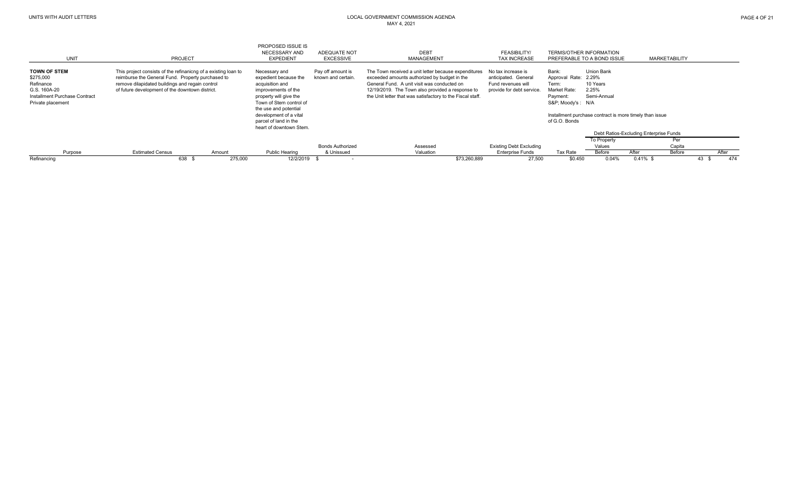| Refinancing                                   | 638                                                            | 275,000 | 12/2/2019 \$                                    |                         | \$73,260,889                                                                                                   | 27,500                         | \$0.450                        | 0.04%                 | $0.41\%$ \$                                             |                      | 474<br>43 |
|-----------------------------------------------|----------------------------------------------------------------|---------|-------------------------------------------------|-------------------------|----------------------------------------------------------------------------------------------------------------|--------------------------------|--------------------------------|-----------------------|---------------------------------------------------------|----------------------|-----------|
| Purpose                                       | <b>Estimated Census</b>                                        | Amount  | <b>Public Hearing</b>                           | & Unissued              | Valuation                                                                                                      | <b>Enterprise Funds</b>        | <b>Tax Rate</b>                | Before                | After                                                   | Before               | After     |
|                                               |                                                                |         |                                                 | <b>Bonds Authorized</b> | Assessed                                                                                                       | <b>Existing Debt Excluding</b> |                                | To Property<br>Values |                                                         | Per<br>Capita        |           |
|                                               |                                                                |         |                                                 |                         |                                                                                                                |                                |                                |                       | Debt Ratios-Excluding Enterprise Funds                  |                      |           |
|                                               |                                                                |         | heart of downtown Stem.                         |                         |                                                                                                                |                                |                                |                       |                                                         |                      |           |
|                                               |                                                                |         | development of a vital<br>parcel of land in the |                         |                                                                                                                |                                | of G.O. Bonds                  |                       | Installment purchase contract is more timely than issue |                      |           |
|                                               |                                                                |         | the use and potential                           |                         |                                                                                                                |                                |                                |                       |                                                         |                      |           |
| Private placement                             |                                                                |         | Town of Stem control of                         |                         |                                                                                                                |                                | S&P Moody's : N/A              |                       |                                                         |                      |           |
| G.S. 160A-20<br>Installment Purchase Contract | of future development of the downtown district.                |         | improvements of the<br>property will give the   |                         | 12/19/2019. The Town also provided a response to<br>the Unit letter that was satisfactory to the Fiscal staff. | provide for debt service.      | Market Rate:<br>Payment:       | 2.25%<br>Semi-Annual  |                                                         |                      |           |
| Refinance                                     | remove dilapidated buildings and regain control                |         | acquisition and                                 |                         | General Fund. A unit visit was conducted on                                                                    | Fund revenues will             | Term:                          | 10 Years              |                                                         |                      |           |
| \$275,000                                     | reimburse the General Fund. Property purchased to              |         | expedient because the                           | known and certain.      | exceeded amounts authorized by budget in the                                                                   | anticipated. General           | Approval Rate:                 | 2.29%                 |                                                         |                      |           |
| <b>TOWN OF STEM</b>                           | This project consists of the refinanicng of a existing loan to |         | Necessary and                                   | Pay off amount is       | The Town received a unit letter because expenditures                                                           | No tax increase is             | Bank:                          | Union Bank            |                                                         |                      |           |
| UNIT                                          | PROJECT                                                        |         | <b>EXPEDIENT</b>                                | <b>EXCESSIVE</b>        | MANAGEMENT                                                                                                     | <b>TAX INCREASE</b>            | PREFERABLE TO A BOND ISSUE     |                       |                                                         | <b>MARKETABILITY</b> |           |
|                                               |                                                                |         | <b>NECESSARY AND</b>                            | ADEQUATE NOT            | <b>DEBT</b>                                                                                                    | <b>FEASIBILITY/</b>            | <b>TERMS/OTHER INFORMATION</b> |                       |                                                         |                      |           |
|                                               |                                                                |         | PROPOSED ISSUE IS                               |                         |                                                                                                                |                                |                                |                       |                                                         |                      |           |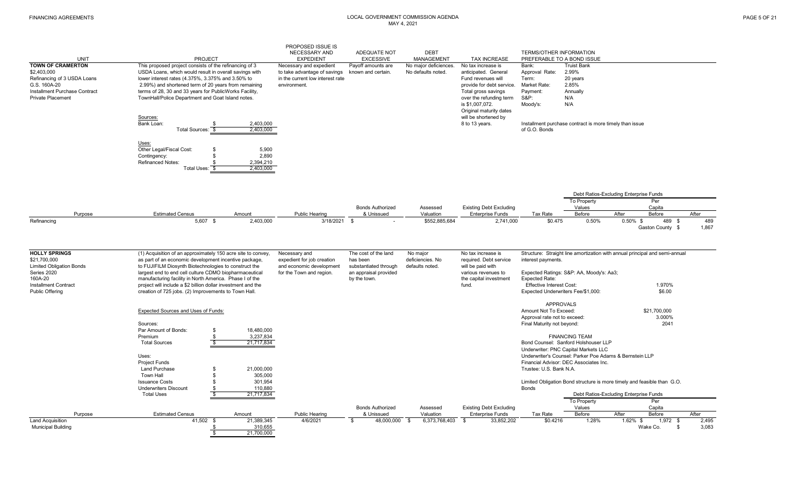|                                                                                                                                                     |                                                                                                                                                                                                                                                                                                                                                                        |                                                       | PROPOSED ISSUE IS                                                                                           |                                                                            |                                            |                                                                                                                                                                                                                                         |                                                                                                         |                                                                                                                                                                  |                   |                                                                             |                |
|-----------------------------------------------------------------------------------------------------------------------------------------------------|------------------------------------------------------------------------------------------------------------------------------------------------------------------------------------------------------------------------------------------------------------------------------------------------------------------------------------------------------------------------|-------------------------------------------------------|-------------------------------------------------------------------------------------------------------------|----------------------------------------------------------------------------|--------------------------------------------|-----------------------------------------------------------------------------------------------------------------------------------------------------------------------------------------------------------------------------------------|---------------------------------------------------------------------------------------------------------|------------------------------------------------------------------------------------------------------------------------------------------------------------------|-------------------|-----------------------------------------------------------------------------|----------------|
|                                                                                                                                                     |                                                                                                                                                                                                                                                                                                                                                                        |                                                       | NECESSARY AND                                                                                               | ADEQUATE NOT                                                               | <b>DEBT</b>                                |                                                                                                                                                                                                                                         | <b>TERMS/OTHER INFORMATION</b>                                                                          |                                                                                                                                                                  |                   |                                                                             |                |
| <b>UNIT</b>                                                                                                                                         | <b>PROJECT</b>                                                                                                                                                                                                                                                                                                                                                         |                                                       | <b>EXPEDIENT</b>                                                                                            | <b>EXCESSIVE</b>                                                           | <b>MANAGEMENT</b>                          | <b>TAX INCREASE</b>                                                                                                                                                                                                                     | PREFERABLE TO A BOND ISSUE                                                                              |                                                                                                                                                                  |                   |                                                                             |                |
| <b>TOWN OF CRAMERTON</b><br>\$2,403,000<br>Refinancing of 3 USDA Loans<br>G.S. 160A-20<br>Installment Purchase Contract<br><b>Private Placement</b> | This proposed project consists of the refinancing of 3<br>USDA Loans, which would result in overall savings with<br>lower interest rates (4.375%, 3.375% and 3.50% to<br>2.99%) and shortened term of 20 years from remaining<br>terms of 28, 30 and 33 years for PublicWorks Facility,<br>TownHall/Police Department and Goat Island notes.<br>Sources:<br>Bank Loan: | 2.403.000                                             | Necessary and expedient<br>to take advantage of savings<br>in the current low interest rate<br>environment. | Payoff amounts are<br>known and certain.                                   | No major deficiences<br>No defaults noted. | No tax increase is<br>anticipated. General<br>Fund revenues will<br>provide for debt service.<br>Total gross savings<br>over the refunding term<br>is \$1,007,072.<br>Original maturity dates<br>will be shortened by<br>8 to 13 years. | Bank:<br>Approval Rate:<br>Term:<br>Market Rate:<br>Payment:<br><b>S&amp;P:</b><br>Moody's:             | <b>Truist Bank</b><br>2.99%<br>20 years<br>2.85%<br>Annually<br>N/A<br>N/A<br>Installment purchase contract is more timely than issue                            |                   |                                                                             |                |
|                                                                                                                                                     | Total Sources: \$<br>Uses:<br>Other Legal/Fiscal Cost:<br>\$<br>Contingency:<br><b>Refinanced Notes:</b><br>-S<br>Total Uses: \$                                                                                                                                                                                                                                       | 2,403,000<br>5.900<br>2,890<br>2,394,210<br>2,403,000 |                                                                                                             |                                                                            |                                            |                                                                                                                                                                                                                                         | of G.O. Bonds                                                                                           |                                                                                                                                                                  |                   |                                                                             |                |
|                                                                                                                                                     |                                                                                                                                                                                                                                                                                                                                                                        |                                                       |                                                                                                             |                                                                            |                                            |                                                                                                                                                                                                                                         |                                                                                                         |                                                                                                                                                                  |                   |                                                                             |                |
|                                                                                                                                                     |                                                                                                                                                                                                                                                                                                                                                                        |                                                       |                                                                                                             |                                                                            |                                            |                                                                                                                                                                                                                                         |                                                                                                         | Debt Ratios-Excluding Enterprise Funds<br>To Property                                                                                                            |                   | Per                                                                         |                |
|                                                                                                                                                     |                                                                                                                                                                                                                                                                                                                                                                        |                                                       |                                                                                                             | <b>Bonds Authorized</b>                                                    | Assessed                                   | <b>Existing Debt Excluding</b>                                                                                                                                                                                                          |                                                                                                         | Values                                                                                                                                                           |                   | Capita                                                                      |                |
| Purpose                                                                                                                                             | <b>Estimated Census</b><br>Amount                                                                                                                                                                                                                                                                                                                                      |                                                       | Public Hearing                                                                                              | & Unissued                                                                 | Valuation                                  | <b>Enterprise Funds</b>                                                                                                                                                                                                                 | <b>Tax Rate</b>                                                                                         | Before                                                                                                                                                           | After             | Before                                                                      | After          |
| Refinancing                                                                                                                                         | 5,607 \$                                                                                                                                                                                                                                                                                                                                                               | 2,403,000                                             | 3/18/2021                                                                                                   | <b>\$</b>                                                                  | \$552,885,684                              | 2,741,000                                                                                                                                                                                                                               | \$0.475                                                                                                 | 0.50%                                                                                                                                                            | $0.50\%$ \$       | 489 \$<br>Gaston County \$                                                  | 489<br>1,867   |
| <b>HOLLY SPRINGS</b>                                                                                                                                | (1) Acquisition of an approximately 150 acre site to convey,                                                                                                                                                                                                                                                                                                           |                                                       | Necessary and                                                                                               | The cost of the land                                                       | No major                                   | No tax increase is                                                                                                                                                                                                                      |                                                                                                         |                                                                                                                                                                  |                   | Structure: Straight line amortization with annual principal and semi-annual |                |
| \$21,700,000<br><b>Limited Obligation Bonds</b><br>Series 2020<br>160A-20                                                                           | as part of an economic development incentive package,<br>to FUJIFILM Diosynth Biotechnologies to construct the<br>largest end to end cell culture CDMO biopharmaceutical<br>manufacturing facility in North America. Phase I of the                                                                                                                                    |                                                       | expedient for job creation<br>and economic development<br>for the Town and region.                          | has been<br>substantiated through<br>an appraisal provided<br>by the town. | deficiencies. No<br>defaults noted.        | required. Debt service<br>will be paid with<br>various revenues to<br>the capital investment                                                                                                                                            | interest payments.<br><b>Expected Rate:</b>                                                             | Expected Ratings: S&P: AA, Moody's: Aa3;                                                                                                                         |                   |                                                                             |                |
| <b>Installment Contract</b><br>Public Offering                                                                                                      | project will include a \$2 billion dollar investment and the<br>creation of 725 jobs. (2) Improvements to Town Hall.                                                                                                                                                                                                                                                   |                                                       |                                                                                                             |                                                                            |                                            | fund.                                                                                                                                                                                                                                   | <b>Effective Interest Cost:</b><br>Expected Underwriters Fee/\$1,000:                                   |                                                                                                                                                                  |                   | 1.970%<br>\$6.00                                                            |                |
|                                                                                                                                                     | <b>Expected Sources and Uses of Funds:</b><br>Sources:<br>Par Amount of Bonds:                                                                                                                                                                                                                                                                                         |                                                       |                                                                                                             |                                                                            |                                            |                                                                                                                                                                                                                                         | <b>APPROVALS</b><br>Amount Not To Exceed:<br>Approval rate not to exceed:<br>Final Maturity not beyond: |                                                                                                                                                                  |                   | \$21,700,000<br>3.000%<br>2041                                              |                |
|                                                                                                                                                     | \$<br>Premium<br>-\$<br>-\$<br><b>Total Sources</b><br>Uses:                                                                                                                                                                                                                                                                                                           | 18,480,000<br>3,237,834<br>21,717,834                 |                                                                                                             |                                                                            |                                            |                                                                                                                                                                                                                                         |                                                                                                         | <b>FINANCING TEAM</b><br>Bond Counsel: Sanford Holshouser LLP<br>Underwriter: PNC Capital Markets LLC<br>Underwriter's Counsel: Parker Poe Adams & Bernstein LLP |                   |                                                                             |                |
|                                                                                                                                                     | <b>Project Funds</b><br><b>Land Purchase</b><br>\$<br><b>Town Hall</b><br>\$                                                                                                                                                                                                                                                                                           | 21,000,000<br>305,000                                 |                                                                                                             |                                                                            |                                            |                                                                                                                                                                                                                                         | Trustee: U.S. Bank N.A.                                                                                 | Financial Advisor: DEC Associates Inc.                                                                                                                           |                   |                                                                             |                |
|                                                                                                                                                     | <b>Issuance Costs</b><br>\$<br><b>Underwriters Discount</b><br>\$<br>-S<br><b>Total Uses</b>                                                                                                                                                                                                                                                                           | 301,954<br>110.880<br>21,717,834                      |                                                                                                             |                                                                            |                                            |                                                                                                                                                                                                                                         | <b>Bonds</b>                                                                                            | Limited Obligation Bond structure is more timely and feasible than G.O.<br>Debt Ratios-Excluding Enterprise Funds                                                |                   |                                                                             |                |
|                                                                                                                                                     |                                                                                                                                                                                                                                                                                                                                                                        |                                                       |                                                                                                             |                                                                            |                                            |                                                                                                                                                                                                                                         |                                                                                                         | To Property                                                                                                                                                      |                   | Per                                                                         |                |
|                                                                                                                                                     |                                                                                                                                                                                                                                                                                                                                                                        |                                                       |                                                                                                             | <b>Bonds Authorized</b>                                                    | Assessed                                   | <b>Existing Debt Excluding</b>                                                                                                                                                                                                          |                                                                                                         | Values                                                                                                                                                           |                   | Capita                                                                      |                |
| Purpose<br><b>Land Acquisition</b>                                                                                                                  | <b>Estimated Census</b><br>Amount<br>41,502 \$                                                                                                                                                                                                                                                                                                                         |                                                       | <b>Public Hearing</b><br>4/6/2021                                                                           | & Unissued<br>48,000,000<br>\$                                             | Valuation<br>6,373,768,403                 | <b>Enterprise Funds</b><br>33,852,202                                                                                                                                                                                                   | Tax Rate<br>\$0.4216                                                                                    | Before<br>1.28%                                                                                                                                                  | After<br>1.62% \$ | Before                                                                      | After<br>2,495 |
| <b>Municipal Building</b>                                                                                                                           | - \$<br>$\sqrt{3}$                                                                                                                                                                                                                                                                                                                                                     | 21,389,345<br>310,655<br>21,700,000                   |                                                                                                             |                                                                            | \$                                         | - \$                                                                                                                                                                                                                                    |                                                                                                         |                                                                                                                                                                  |                   | $1,972$ \$<br>Wake Co.<br>\$                                                | 3,083          |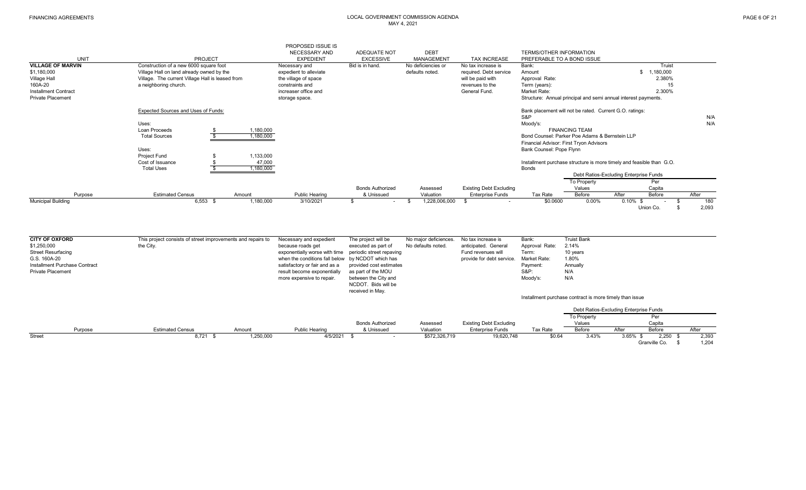|                             |                                                  |           | PROPOSED ISSUE IS      |                         |                    |                                |                                                                      |                                        |             |                 |       |
|-----------------------------|--------------------------------------------------|-----------|------------------------|-------------------------|--------------------|--------------------------------|----------------------------------------------------------------------|----------------------------------------|-------------|-----------------|-------|
|                             |                                                  |           | NECESSARY AND          | ADEQUATE NOT            | <b>DEBT</b>        |                                | <b>TERMS/OTHER INFORMATION</b>                                       |                                        |             |                 |       |
| <b>UNIT</b>                 | PROJECT                                          |           | <b>EXPEDIENT</b>       | <b>EXCESSIVE</b>        | MANAGEMENT         | <b>TAX INCREASE</b>            | PREFERABLE TO A BOND ISSUE                                           |                                        |             |                 |       |
| <b>VILLAGE OF MARVIN</b>    | Construction of a new 6000 square foot           |           | Necessary and          | Bid is in hand.         | No deficiencies or | No tax increase is             | Bank:                                                                |                                        |             | Truist          |       |
| \$1,180,000                 | Village Hall on land already owned by the        |           | expedient to alleviate |                         | defaults noted.    | required. Debt service         | Amount                                                               |                                        |             | 1,180,000<br>\$ |       |
| Village Hall                | Village. The current Village Hall is leased from |           | the village of space   |                         |                    | will be paid with              | Approval Rate:                                                       |                                        |             | 2.380%          |       |
| 160A-20                     | a neighboring church.                            |           | constraints and        |                         |                    | revenues to the                | Term (years):                                                        |                                        |             | 15              |       |
| <b>Installment Contract</b> |                                                  |           | increaser office and   |                         |                    | General Fund.                  | Market Rate:                                                         |                                        |             | 2.300%          |       |
| <b>Private Placement</b>    |                                                  |           | storage space.         |                         |                    |                                | Structure: Annual principal and semi annual interest payments.       |                                        |             |                 |       |
|                             | <b>Expected Sources and Uses of Funds:</b>       |           |                        |                         |                    |                                | Bank placement will not be rated. Current G.O. ratings:              |                                        |             |                 |       |
|                             |                                                  |           |                        |                         |                    |                                | S&P                                                                  |                                        |             |                 | N/A   |
|                             | Uses:                                            |           |                        |                         |                    |                                | Moody's:                                                             |                                        |             |                 | N/A   |
|                             | Loan Proceeds                                    | 1,180,000 |                        |                         |                    |                                |                                                                      | <b>FINANCING TEAM</b>                  |             |                 |       |
|                             | <b>Total Sources</b>                             | 1,180,000 |                        |                         |                    |                                | Bond Counsel: Parker Poe Adams & Bernstein LLP                       |                                        |             |                 |       |
|                             |                                                  |           |                        |                         |                    |                                | Financial Advisor: First Tryon Advisors                              |                                        |             |                 |       |
|                             | Uses:                                            |           |                        |                         |                    |                                | Bank Counsel: Pope Flynn                                             |                                        |             |                 |       |
|                             | Project Fund                                     | 1,133,000 |                        |                         |                    |                                |                                                                      |                                        |             |                 |       |
|                             | Cost of Issuance                                 | 47,000    |                        |                         |                    |                                | Installment purchase structure is more timely and feasible than G.O. |                                        |             |                 |       |
|                             | <b>Total Uses</b>                                | 1,180,000 |                        |                         |                    |                                | <b>Bonds</b>                                                         |                                        |             |                 |       |
|                             |                                                  |           |                        |                         |                    |                                |                                                                      | Debt Ratios-Excluding Enterprise Funds |             |                 |       |
|                             |                                                  |           |                        |                         |                    |                                |                                                                      | To Property                            |             | Per             |       |
|                             |                                                  |           |                        | <b>Bonds Authorized</b> | Assessed           | <b>Existing Debt Excluding</b> |                                                                      | Values                                 |             | Capita          |       |
| Purpose                     | <b>Estimated Census</b>                          | Amount    | <b>Public Hearing</b>  | & Unissued              | Valuation          | <b>Enterprise Funds</b>        | Tax Rate                                                             | Before                                 | After       | Before          | After |
| <b>Municipal Building</b>   | $6,553$ \$                                       | 1,180,000 | 3/10/2021              |                         | 1,228,006,000      |                                | \$0.0600                                                             | $0.00\%$                               | $0.10\%$ \$ |                 | 180   |
|                             |                                                  |           |                        |                         |                    |                                |                                                                      |                                        |             | Union Co.       | 2,093 |
|                             |                                                  |           |                        |                         |                    |                                |                                                                      |                                        |             |                 |       |

| <b>CITY OF OXFORD</b>         | This project consists of street improvements and repairs to | Necessary and expedient                           | The project will be      | No major deficiences. | No tax increase is             | Bank:           | <b>Truist Bank</b>                                      |             |               |       |       |
|-------------------------------|-------------------------------------------------------------|---------------------------------------------------|--------------------------|-----------------------|--------------------------------|-----------------|---------------------------------------------------------|-------------|---------------|-------|-------|
| \$1,250,000                   | the City.                                                   | because roads get                                 | executed as part of      | No defaults noted.    | anticipated. General           | Approval Rate:  | 2.14%                                                   |             |               |       |       |
| <b>Street Resurfacing</b>     |                                                             | exponentially worse with time                     | periodic street repaving |                       | Fund revenues will             | Term:           | 10 years                                                |             |               |       |       |
| G.S. 160A-20                  |                                                             | when the conditions fall below by NCDOT which has |                          |                       | provide for debt service.      | Market Rate:    | 1.80%                                                   |             |               |       |       |
| Installment Purchase Contract |                                                             | satisfactory or fair and as a                     | provided cost estimates  |                       |                                | Payment:        | Annually                                                |             |               |       |       |
| <b>Private Placement</b>      |                                                             | result become exponentially                       | as part of the MOU       |                       |                                | <b>S&amp;P:</b> | N/A                                                     |             |               |       |       |
|                               |                                                             | more expensive to repair.                         | between the City and     |                       |                                | Moody's:        | N/A                                                     |             |               |       |       |
|                               |                                                             |                                                   | NCDOT. Bids will be      |                       |                                |                 |                                                         |             |               |       |       |
|                               |                                                             |                                                   | received in May.         |                       |                                |                 |                                                         |             |               |       |       |
|                               |                                                             |                                                   |                          |                       |                                |                 | Installment purchase contract is more timely than issue |             |               |       |       |
|                               |                                                             |                                                   |                          |                       |                                |                 | Debt Ratios-Excluding Enterprise Funds                  |             |               |       |       |
|                               |                                                             |                                                   |                          |                       |                                |                 | To Property                                             |             | Per           |       |       |
|                               |                                                             |                                                   | <b>Bonds Authorized</b>  | Assessed              | <b>Existing Debt Excluding</b> |                 | Values                                                  |             | Capita        |       |       |
| Purpose                       | <b>Estimated Census</b><br>Amount                           | <b>Public Hearing</b>                             | & Unissued               | Valuation             | <b>Enterprise Funds</b>        | Tax Rate        | Before                                                  | After       | Before        | After |       |
| <b>Street</b>                 | 8,721<br>1,250,000                                          | 4/5/2021                                          |                          | \$572,326,719         | 19,620,748                     | \$0.64          | 3.43%                                                   | $3.65\%$ \$ | 2.250         | . ა   | 2,393 |
|                               |                                                             |                                                   |                          |                       |                                |                 |                                                         |             | Granville Co. |       | 1,204 |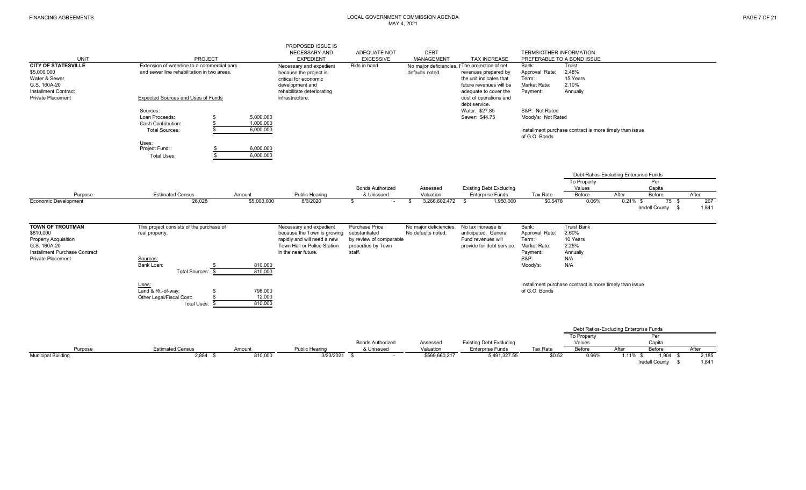|                               |                                             |                        | PROPOSED ISSUE IS           |                         |                        |                                                |                            |                                                         |                                           |              |
|-------------------------------|---------------------------------------------|------------------------|-----------------------------|-------------------------|------------------------|------------------------------------------------|----------------------------|---------------------------------------------------------|-------------------------------------------|--------------|
|                               |                                             |                        | NECESSARY AND               | ADEQUATE NOT            | <b>DEBT</b>            |                                                | TERMS/OTHER INFORMATION    |                                                         |                                           |              |
| <b>UNIT</b>                   | PROJECT                                     |                        | <b>EXPEDIENT</b>            | <b>EXCESSIVE</b>        | MANAGEMENT             | <b>TAX INCREASE</b>                            | PREFERABLE TO A BOND ISSUE |                                                         |                                           |              |
| <b>CITY OF STATESVILLE</b>    | Extension of waterline to a commercial park |                        | Necessary and expedient     | Bids in hand.           |                        | No major deficiencies. I The projection of net | Bank:                      | Truist                                                  |                                           |              |
| \$5,000,000                   | and sewer line rehabilitation in two areas. |                        | because the project is      |                         | defaults noted.        | revenues prepared by                           | Approval Rate:             | 2.48%                                                   |                                           |              |
| Water & Sewer                 |                                             |                        | critical for economic       |                         |                        | the unit indicates that                        | Term:                      | 15 Years                                                |                                           |              |
| G.S. 160A-20                  |                                             |                        | development and             |                         |                        | future revenues will be                        | Market Rate:               | 2.10%                                                   |                                           |              |
| <b>Installment Contract</b>   |                                             |                        | rehabilitate deteriorating  |                         |                        | adequate to cover the                          | Payment:                   | Annually                                                |                                           |              |
| <b>Private Placement</b>      | <b>Expected Sources and Uses of Funds</b>   |                        | infrastructure.             |                         |                        | cost of operations and                         |                            |                                                         |                                           |              |
|                               |                                             |                        |                             |                         |                        | debt service.                                  |                            |                                                         |                                           |              |
|                               | Sources:<br>Loan Proceeds:                  |                        |                             |                         |                        | Water: \$27.85<br>Sewer: \$44.75               | S&P: Not Rated             |                                                         |                                           |              |
|                               | Cash Contribution:                          | 5,000,000<br>1,000,000 |                             |                         |                        |                                                | Moody's: Not Rated         |                                                         |                                           |              |
|                               | <b>Total Sources:</b>                       | 6,000,000              |                             |                         |                        |                                                |                            | Installment purchase contract is more timely than issue |                                           |              |
|                               |                                             |                        |                             |                         |                        |                                                | of G.O. Bonds              |                                                         |                                           |              |
|                               | Uses:                                       |                        |                             |                         |                        |                                                |                            |                                                         |                                           |              |
|                               | Project Fund:                               | 6,000,000              |                             |                         |                        |                                                |                            |                                                         |                                           |              |
|                               | \$.<br><b>Total Uses:</b>                   | 6,000,000              |                             |                         |                        |                                                |                            |                                                         |                                           |              |
|                               |                                             |                        |                             |                         |                        |                                                |                            |                                                         |                                           |              |
|                               |                                             |                        |                             |                         |                        |                                                |                            |                                                         |                                           |              |
|                               |                                             |                        |                             |                         |                        |                                                |                            |                                                         | Debt Ratios-Excluding Enterprise Funds    |              |
|                               |                                             |                        |                             |                         |                        |                                                |                            | To Property                                             | Per                                       |              |
|                               |                                             |                        |                             | <b>Bonds Authorized</b> | Assessed               | <b>Existing Debt Excluding</b>                 |                            | Values                                                  | Capita                                    |              |
| Purpose                       | <b>Estimated Census</b>                     | Amount                 | Public Hearing              | & Unissued              | Valuation              | <b>Enterprise Funds</b>                        | Tax Rate                   | Before                                                  | After<br>Before                           | After        |
| <b>Economic Development</b>   | 26,028                                      | \$5,000,000            | 8/3/2020                    | \$                      | 3,266,602,472<br>\$    | 1,950,000<br>- \$                              | \$0.5478                   | 0.06%                                                   | $0.21\%$ \$<br>75 \$<br>Iredell County \$ | 267<br>1,841 |
|                               |                                             |                        |                             |                         |                        |                                                |                            |                                                         |                                           |              |
|                               |                                             |                        |                             |                         |                        |                                                |                            |                                                         |                                           |              |
| <b>TOWN OF TROUTMAN</b>       | This project consists of the purchase of    |                        | Necessary and expedient     | Purchase Price          | No major deficiencies. | No tax increase is                             | Bank:                      | <b>Truist Bank</b>                                      |                                           |              |
| \$810,000                     | real property.                              |                        | because the Town is growing | substantiated           | No defaults noted.     | anticipated. General                           | Approval Rate:             | 2.60%                                                   |                                           |              |
| <b>Property Acquisition</b>   |                                             |                        | rapidly and will need a new | by review of comparable |                        | Fund revenues will                             | Term:                      | 10 Years                                                |                                           |              |
| G.S. 160A-20                  |                                             |                        | Town Hall or Police Station | properties by Town      |                        | provide for debt service.                      | Market Rate:               | 2.25%                                                   |                                           |              |
| Installment Purchase Contract |                                             |                        | in the near future.         | staff.                  |                        |                                                | Payment:                   | Annually                                                |                                           |              |
| <b>Private Placement</b>      | Sources:                                    |                        |                             |                         |                        |                                                | <b>S&amp;P:</b>            | N/A                                                     |                                           |              |
|                               | Bank Loan:                                  | 810,000                |                             |                         |                        |                                                | Moody's:                   | N/A                                                     |                                           |              |
|                               | Total Sources: \$                           | 810,000                |                             |                         |                        |                                                |                            |                                                         |                                           |              |
|                               | Uses:                                       |                        |                             |                         |                        |                                                |                            | Installment purchase contract is more timely than issue |                                           |              |
|                               | Land & Rt.-of-wav:                          | 798,000                |                             |                         |                        |                                                | of G.O. Bonds              |                                                         |                                           |              |
|                               | Other Legal/Fiscal Cost:                    | 12,000                 |                             |                         |                        |                                                |                            |                                                         |                                           |              |
|                               | Total Uses:                                 | 810,000                |                             |                         |                        |                                                |                            |                                                         |                                           |              |
|                               |                                             |                        |                             |                         |                        |                                                |                            |                                                         |                                           |              |

|                           |                         |         |                       |                         |               |                                |          |                    | Debt Ratios-Excluding Enterprise Funds |                       |         |
|---------------------------|-------------------------|---------|-----------------------|-------------------------|---------------|--------------------------------|----------|--------------------|----------------------------------------|-----------------------|---------|
|                           |                         |         |                       |                         |               |                                |          | <b>To Property</b> |                                        | ∽er                   |         |
|                           |                         |         |                       | <b>Bonds Authorized</b> | Assessed      | <b>Existing Debt Excluding</b> |          | Values             |                                        | Capit                 |         |
| Purpose                   | <b>Estimated Census</b> | Amount  | <b>Public Hearing</b> | & Unissued              | Valuation     | Enterprise Funds               | Tax Rate | Before             | Afteı                                  | <b>Before</b>         | After   |
| <b>Municipal Building</b> | 2,884                   | 810,000 | 3/23/2021             |                         | \$569,660,217 | 5,491,327.55                   | \$0.52   | 0.96%              | .11%                                   |                       | 2,185   |
|                           |                         |         |                       |                         |               |                                |          |                    |                                        | <b>Iredell County</b> | $1.84*$ |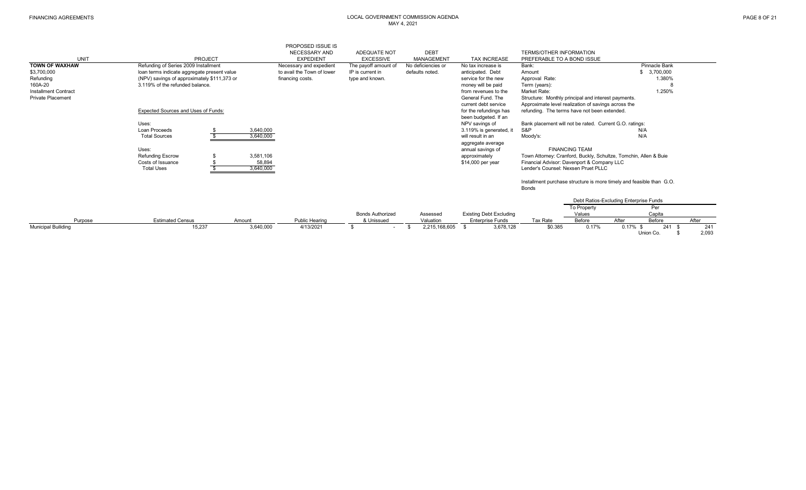| UNIT                        | PROJECT                                                                         |                                  | PROPOSED ISSUE IS<br>NECESSARY AND<br><b>EXPEDIENT</b> | <b>ADEQUATE NOT</b><br><b>EXCESSIVE</b> | <b>DEBT</b><br>MANAGEMENT | <b>TAX INCREASE</b>                                                          | <b>TERMS/OTHER INFORMATION</b><br>PREFERABLE TO A BOND ISSUE                      |                       |                                                                      |             |              |
|-----------------------------|---------------------------------------------------------------------------------|----------------------------------|--------------------------------------------------------|-----------------------------------------|---------------------------|------------------------------------------------------------------------------|-----------------------------------------------------------------------------------|-----------------------|----------------------------------------------------------------------|-------------|--------------|
| <b>TOWN OF WAXHAW</b>       | Refunding of Series 2009 Installment                                            |                                  | Necessary and expedient                                | The payoff amount of                    | No deficiencies or        | No tax increase is                                                           | Bank:                                                                             |                       | Pinnacle Bank                                                        |             |              |
| \$3,700,000                 | loan terms indicate aggregate present value                                     |                                  | to avail the Town of lower                             | IP is current in                        | defaults noted.           | anticipated. Debt                                                            | Amount                                                                            |                       | \$ 3,700,000                                                         |             |              |
| Refunding                   | (NPV) savings of approximately \$111,373 or                                     |                                  | financing costs.                                       | type and known.                         |                           | service for the new                                                          | Approval Rate:                                                                    |                       |                                                                      | 1.380%      |              |
| 160A-20                     | 3 119% of the refunded balance                                                  |                                  |                                                        |                                         |                           | money will be paid                                                           | Term (years):                                                                     |                       |                                                                      |             |              |
| <b>Installment Contract</b> |                                                                                 |                                  |                                                        |                                         |                           | from revenues to the                                                         | Market Rate:                                                                      |                       |                                                                      | 1.250%      |              |
| <b>Private Placement</b>    |                                                                                 |                                  |                                                        |                                         |                           | General Fund. The                                                            | Structure: Monthly principal and interest payments.                               |                       |                                                                      |             |              |
|                             |                                                                                 |                                  |                                                        |                                         |                           | current debt service                                                         | Approximate level realization of savings across the                               |                       |                                                                      |             |              |
|                             | <b>Expected Sources and Uses of Funds:</b>                                      |                                  |                                                        |                                         |                           | for the refundings has<br>been budgeted. If an                               | refunding. The terms have not been extended.                                      |                       |                                                                      |             |              |
|                             | Uses:                                                                           |                                  |                                                        |                                         |                           | NPV savings of                                                               | Bank placement will not be rated. Current G.O. ratings:                           |                       |                                                                      |             |              |
|                             | Loan Proceeds                                                                   | 3,640,000                        |                                                        |                                         |                           | 3.119% is generated, it                                                      | S&P                                                                               |                       | N/A                                                                  |             |              |
|                             | <b>Total Sources</b>                                                            | 3,640,000                        |                                                        |                                         |                           | will result in an                                                            | Moody's:                                                                          |                       | N/A                                                                  |             |              |
|                             | Uses:<br><b>Refunding Escrow</b><br>S<br>Costs of Issuance<br><b>Total Uses</b> | 3,581,106<br>58,894<br>3,640,000 |                                                        |                                         |                           | aggregate average<br>annual savings of<br>approximately<br>\$14,000 per year | Financial Advisor: Davenport & Company LLC<br>Lender's Counsel: Nexsen Pruet PLLC | <b>FINANCING TEAM</b> | Town Attorney: Cranford, Buckly, Schultze, Tomchin, Allen & Buie     |             |              |
|                             |                                                                                 |                                  |                                                        |                                         |                           |                                                                              | <b>Bonds</b>                                                                      |                       | Installment purchase structure is more timely and feasible than G.O. |             |              |
|                             |                                                                                 |                                  |                                                        |                                         |                           |                                                                              |                                                                                   |                       | Debt Ratios-Excluding Enterprise Funds                               |             |              |
|                             |                                                                                 |                                  |                                                        |                                         |                           |                                                                              |                                                                                   | To Property           | Per                                                                  |             |              |
|                             |                                                                                 |                                  |                                                        | <b>Bonds Authorized</b>                 | Assessed                  | <b>Existing Debt Excluding</b>                                               |                                                                                   | Values                | Capita                                                               |             |              |
| Purpose                     | <b>Estimated Census</b>                                                         | Amount                           | <b>Public Hearing</b>                                  | & Unissued                              | Valuation                 | <b>Enterprise Funds</b>                                                      | Tax Rate                                                                          | Before                | After<br>Before                                                      |             | After        |
| <b>Municipal Builiding</b>  | 15,237                                                                          | 3,640,000                        | 4/13/2021                                              |                                         | 2,215,168,605             | 3,678,128<br>- \$                                                            | \$0.385                                                                           | 0.17%                 | $0.17\%$ \$<br>Union Co.                                             | 241<br>- \$ | 241<br>2,093 |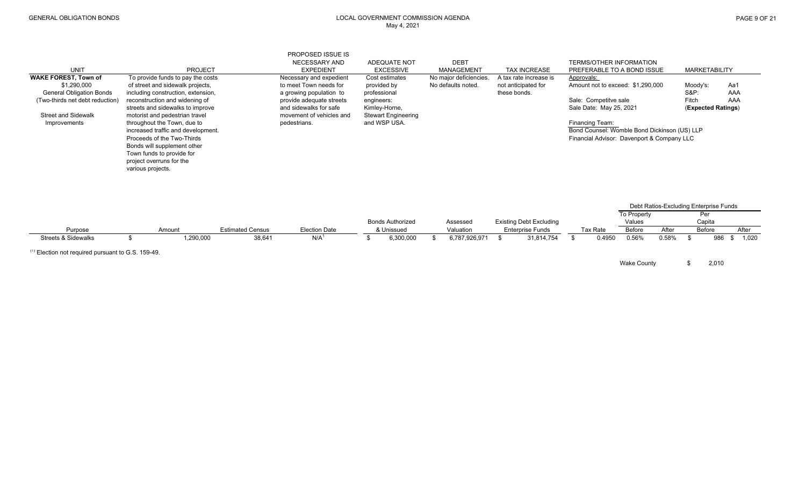|                                 |                                    |                         | PROPOSED ISSUE IS                 |                                         |                                  |                         |                                                              |                    |                                        |                      |
|---------------------------------|------------------------------------|-------------------------|-----------------------------------|-----------------------------------------|----------------------------------|-------------------------|--------------------------------------------------------------|--------------------|----------------------------------------|----------------------|
| <b>UNIT</b>                     | <b>PROJECT</b>                     |                         | NECESSARY AND<br><b>EXPEDIENT</b> | <b>ADEQUATE NOT</b><br><b>EXCESSIVE</b> | <b>DEBT</b><br><b>MANAGEMENT</b> | <b>TAX INCREASE</b>     | <b>TERMS/OTHER INFORMATION</b><br>PREFERABLE TO A BOND ISSUE |                    | <b>MARKETABILITY</b>                   |                      |
| <b>WAKE FOREST, Town of</b>     | To provide funds to pay the costs  |                         | Necessary and expedient           | Cost estimates                          | No major deficiencies.           | A tax rate increase is  | Approvals:                                                   |                    |                                        |                      |
| \$1,290,000                     | of street and sidewalk projects,   |                         | to meet Town needs for            | provided by                             | No defaults noted.               | not anticipated for     | Amount not to exceed: \$1,290,000                            |                    | Moody's:                               | Aa1                  |
| <b>General Obligation Bonds</b> | including construction, extension, |                         | a growing population to           | professional                            |                                  | these bonds.            |                                                              |                    | <b>S&amp;P:</b>                        | AAA                  |
| (Two-thirds net debt reduction) | reconstruction and widening of     |                         | provide adequate streets          | engineers:                              |                                  |                         | Sale: Competitve sale                                        |                    | Fitch                                  | AAA                  |
|                                 | streets and sidewalks to improve   |                         | and sidewalks for safe            | Kimley-Horne,                           |                                  |                         | Sale Date: May 25, 2021                                      |                    | (Expected Ratings)                     |                      |
| <b>Street and Sidewalk</b>      | motorist and pedestrian travel     |                         | movement of vehicles and          | <b>Stewart Engineering</b>              |                                  |                         |                                                              |                    |                                        |                      |
| Improvements                    | throughout the Town, due to        |                         | pedestrians.                      | and WSP USA.                            |                                  |                         | Financing Team:                                              |                    |                                        |                      |
|                                 | increased traffic and development. |                         |                                   |                                         |                                  |                         | Bond Counsel: Womble Bond Dickinson (US) LLP                 |                    |                                        |                      |
|                                 | Proceeds of the Two-Thirds         |                         |                                   |                                         |                                  |                         | Financial Advisor: Davenport & Company LLC                   |                    |                                        |                      |
|                                 | Bonds will supplement other        |                         |                                   |                                         |                                  |                         |                                                              |                    |                                        |                      |
|                                 | Town funds to provide for          |                         |                                   |                                         |                                  |                         |                                                              |                    |                                        |                      |
|                                 | project overruns for the           |                         |                                   |                                         |                                  |                         |                                                              |                    |                                        |                      |
|                                 | various projects.                  |                         |                                   |                                         |                                  |                         |                                                              |                    |                                        |                      |
|                                 |                                    |                         |                                   |                                         |                                  |                         |                                                              |                    |                                        |                      |
|                                 |                                    |                         |                                   |                                         |                                  |                         |                                                              |                    |                                        |                      |
|                                 |                                    |                         |                                   |                                         |                                  |                         |                                                              |                    |                                        |                      |
|                                 |                                    |                         |                                   |                                         |                                  |                         |                                                              |                    | Debt Ratios-Excluding Enterprise Funds |                      |
|                                 |                                    |                         |                                   |                                         |                                  |                         |                                                              | <b>To Property</b> | Per                                    |                      |
|                                 |                                    |                         |                                   | <b>Bonds Authorized</b>                 | Assessed                         | Existing Debt Excluding |                                                              | Values             | Capita                                 |                      |
| Purpose                         | Amount                             | <b>Estimated Census</b> | <b>Election Date</b>              | & Unissued                              | Valuation                        | <b>Enterprise Funds</b> | Tax Rate                                                     | Before<br>After    | Before                                 | After                |
| <b>Streets &amp; Sidewalks</b>  | 1,290,000<br>\$                    | 38,641                  | N/A                               | 6,300,000                               | \$<br>6,787,926,971              | 31,814,754              | 0.4950                                                       | 0.56%<br>0.58%     | \$                                     | 986<br>1,020<br>- 35 |

 $(1)$  Election not required pursuant to G.S. 159-49.

Wake County  $$ 2,010$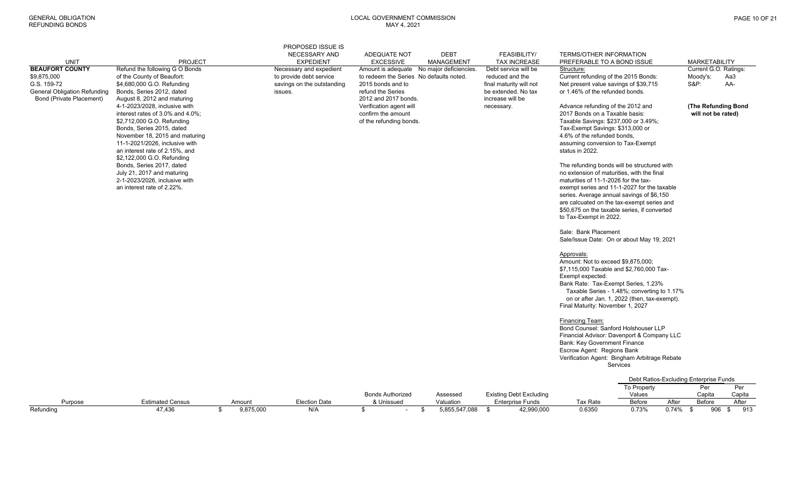| Approvals:<br>Amount: Not to exceed \$9.875.000:<br>\$7,115,000 Taxable and \$2,760,000 Tax-<br>Exempt expected.<br>Bank Rate: Tax-Exempt Series, 1.23%<br>Taxable Series - 1.48%; converting to 1.17%<br>on or after Jan. 1, 2022 (then, tax-exempt).<br>Final Maturity: November 1, 2027<br>Financing Team:<br>Bond Counsel: Sanford Holshouser LLP<br>Financial Advisor: Davenport & Company LLC<br><b>Bank: Key Government Finance</b><br>Escrow Agent: Regions Bank<br>Verification Agent: Bingham Arbitrage Rebate<br><b>Services</b><br>Debt Ratios-Excluding Enterprise Funds<br>To Property<br>Per<br>Per<br><b>Bonds Authorized</b><br><b>Existing Debt Excluding</b><br>Capita<br>Assessed<br>Values<br>Capita<br><b>Estimated Census</b><br><b>Election Date</b><br>Valuation<br><b>Enterprise Funds</b><br>After<br>Before<br>After<br>Purpose<br>Amount<br>& Unissued<br>Tax Rate<br>Before<br>$0.74\%$ \$<br>906<br>9,875,000<br>$\sim$ . | <b>UNIT</b><br><b>BEAUFORT COUNTY</b><br>\$9,875,000<br>G.S. 159-72<br><b>General Obligation Refunding</b><br>Bond (Private Placement) | <b>PROJECT</b><br>Refund the following G O Bonds<br>of the County of Beaufort:<br>\$4,680,000 G.O. Refunding<br>Bonds, Series 2012, dated<br>August 8, 2012 and maturing<br>4-1-2023/2028, inclusive with<br>interest rates of 3.0% and 4.0%;<br>\$2,712,000 G.O. Refunding<br>Bonds, Series 2015, dated<br>November 18, 2015 and maturing<br>11-1-2021/2026, inclusive with<br>an interest rate of 2.15%, and<br>\$2,122,000 G.O. Refunding<br>Bonds, Series 2017, dated<br>July 21, 2017 and maturing<br>2-1-2023/2026, inclusive with<br>an interest rate of 2.22%. | PROPOSED ISSUE IS<br><b>NECESSARY AND</b><br><b>EXPEDIENT</b><br>Necessary and expedient<br>to provide debt service<br>savings on the outstanding<br>issues. | ADEQUATE NOT<br><b>EXCESSIVE</b><br>to redeem the Series No defaults noted.<br>2015 bonds and to<br>refund the Series<br>2012 and 2017 bonds.<br>Verification agent will<br>confirm the amount<br>of the refunding bonds. | <b>DEBT</b><br>MANAGEMENT<br>Amount is adequate No major deficiencies. | <b>FEASIBILITY/</b><br><b>TAX INCREASE</b><br>Debt service will be<br>reduced and the<br>final maturity will not<br>be extended. No tax<br>increase will be<br>necessary. | <b>TERMS/OTHER INFORMATION</b><br>PREFERABLE TO A BOND ISSUE<br>Structure:<br>Current refunding of the 2015 Bonds:<br>Net present value savings of \$39,715<br>or 1.46% of the refunded bonds.<br>Advance refunding of the 2012 and<br>2017 Bonds on a Taxable basis:<br>Taxable Savings: \$237,000 or 3.49%;<br>Tax-Exempt Savings: \$313,000 or<br>4.6% of the refunded bonds,<br>assuming conversion to Tax-Exempt<br>status in 2022.<br>The refunding bonds will be structured with<br>no extension of maturities, with the final<br>maturities of 11-1-2026 for the tax-<br>exempt series and 11-1-2027 for the taxable<br>series. Average annual savings of \$6,150<br>are calcuated on the tax-exempt series and<br>\$50,675 on the taxable series, if converted<br>to Tax-Exempt in 2022.<br>Sale: Bank Placement<br>Sale/Issue Date: On or about May 19, 2021 |       | Moody's:<br><b>S&amp;P:</b> | <b>MARKETABILITY</b><br>Current G.O. Ratings:<br>Aa3<br>AA-<br>(The Refunding Bond<br>will not be rated) |
|----------------------------------------------------------------------------------------------------------------------------------------------------------------------------------------------------------------------------------------------------------------------------------------------------------------------------------------------------------------------------------------------------------------------------------------------------------------------------------------------------------------------------------------------------------------------------------------------------------------------------------------------------------------------------------------------------------------------------------------------------------------------------------------------------------------------------------------------------------------------------------------------------------------------------------------------------------|----------------------------------------------------------------------------------------------------------------------------------------|------------------------------------------------------------------------------------------------------------------------------------------------------------------------------------------------------------------------------------------------------------------------------------------------------------------------------------------------------------------------------------------------------------------------------------------------------------------------------------------------------------------------------------------------------------------------|--------------------------------------------------------------------------------------------------------------------------------------------------------------|---------------------------------------------------------------------------------------------------------------------------------------------------------------------------------------------------------------------------|------------------------------------------------------------------------|---------------------------------------------------------------------------------------------------------------------------------------------------------------------------|------------------------------------------------------------------------------------------------------------------------------------------------------------------------------------------------------------------------------------------------------------------------------------------------------------------------------------------------------------------------------------------------------------------------------------------------------------------------------------------------------------------------------------------------------------------------------------------------------------------------------------------------------------------------------------------------------------------------------------------------------------------------------------------------------------------------------------------------------------------------|-------|-----------------------------|----------------------------------------------------------------------------------------------------------|
|                                                                                                                                                                                                                                                                                                                                                                                                                                                                                                                                                                                                                                                                                                                                                                                                                                                                                                                                                          |                                                                                                                                        |                                                                                                                                                                                                                                                                                                                                                                                                                                                                                                                                                                        |                                                                                                                                                              |                                                                                                                                                                                                                           |                                                                        |                                                                                                                                                                           |                                                                                                                                                                                                                                                                                                                                                                                                                                                                                                                                                                                                                                                                                                                                                                                                                                                                        |       |                             |                                                                                                          |
|                                                                                                                                                                                                                                                                                                                                                                                                                                                                                                                                                                                                                                                                                                                                                                                                                                                                                                                                                          | Refunding                                                                                                                              | 47,436                                                                                                                                                                                                                                                                                                                                                                                                                                                                                                                                                                 | \$<br>N/A                                                                                                                                                    | \$                                                                                                                                                                                                                        | \$<br>5,855,547,088                                                    | 42,990,000<br>\$                                                                                                                                                          | 0.6350                                                                                                                                                                                                                                                                                                                                                                                                                                                                                                                                                                                                                                                                                                                                                                                                                                                                 | 0.73% |                             | 913<br>\$                                                                                                |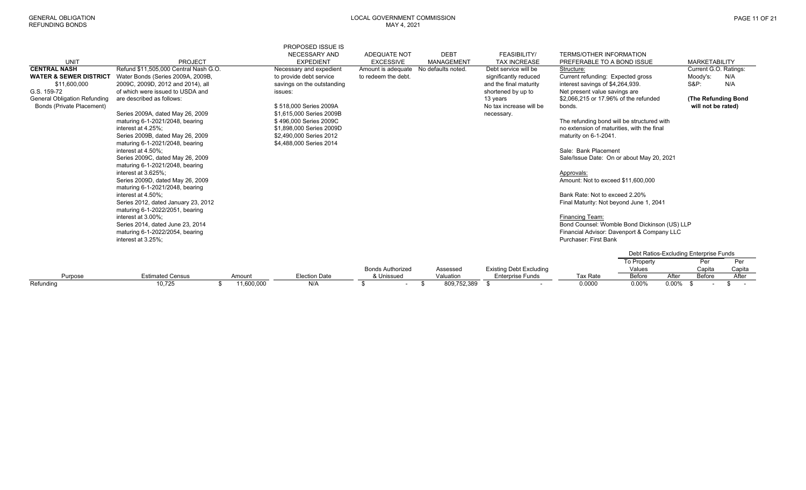| UNIT                                | <b>PROJECT</b>                        |            | PROPOSED ISSUE IS<br>NECESSARY AND<br><b>EXPEDIENT</b> | ADEQUATE NOT<br><b>EXCESSIVE</b> | <b>DEBT</b><br>MANAGEMENT | <b>FEASIBILITY/</b><br><b>TAX INCREASE</b> | <b>TERMS/OTHER INFORMATION</b><br>PREFERABLE TO A BOND ISSUE |                                        |       | <b>MARKETABILITY</b>  |              |
|-------------------------------------|---------------------------------------|------------|--------------------------------------------------------|----------------------------------|---------------------------|--------------------------------------------|--------------------------------------------------------------|----------------------------------------|-------|-----------------------|--------------|
| <b>CENTRAL NASH</b>                 | Refund \$11,505,000 Central Nash G.O. |            | Necessary and expedient                                | Amount is adequate               | No defaults noted.        | Debt service will be                       | Structure:                                                   |                                        |       | Current G.O. Ratings: |              |
| <b>WATER &amp; SEWER DISTRICT</b>   | Water Bonds (Series 2009A, 2009B      |            | to provide debt service                                | to redeem the debt.              |                           | significantly reduced                      | Current refunding: Expected gross                            |                                        |       | Moody's:              | N/A          |
| \$11,600,000                        | 2009C, 2009D, 2012 and 2014), all     |            | savings on the outstanding                             |                                  |                           | and the final maturity                     | interest savings of \$4,264,939.                             |                                        |       | <b>S&amp;P:</b>       | N/A          |
| G.S. 159-72                         | of which were issued to USDA and      |            | issues:                                                |                                  |                           | shortened by up to                         | Net present value savings are                                |                                        |       |                       |              |
| <b>General Obligation Refunding</b> | are described as follows:             |            |                                                        |                                  |                           | 13 years                                   | \$2,066,215 or 17.96% of the refunded                        |                                        |       | (The Refunding Bond   |              |
| Bonds (Private Placement)           |                                       |            | \$518,000 Series 2009A                                 |                                  |                           | No tax increase will be                    | bonds.                                                       |                                        |       | will not be rated)    |              |
|                                     | Series 2009A, dated May 26, 2009      |            | \$1,615,000 Series 2009B                               |                                  |                           | necessary.                                 |                                                              |                                        |       |                       |              |
|                                     | maturing 6-1-2021/2048, bearing       |            | \$496,000 Series 2009C                                 |                                  |                           |                                            | The refunding bond will be structured with                   |                                        |       |                       |              |
|                                     | interest at 4.25%:                    |            | \$1,898,000 Series 2009D                               |                                  |                           |                                            | no extension of maturities, with the final                   |                                        |       |                       |              |
|                                     | Series 2009B, dated May 26, 2009      |            | \$2,490,000 Series 2012                                |                                  |                           |                                            | maturity on 6-1-2041.                                        |                                        |       |                       |              |
|                                     | maturing 6-1-2021/2048, bearing       |            | \$4,488,000 Series 2014                                |                                  |                           |                                            |                                                              |                                        |       |                       |              |
|                                     | interest at 4.50%:                    |            |                                                        |                                  |                           |                                            | Sale: Bank Placement                                         |                                        |       |                       |              |
|                                     | Series 2009C, dated May 26, 2009      |            |                                                        |                                  |                           |                                            | Sale/Issue Date: On or about May 20, 2021                    |                                        |       |                       |              |
|                                     | maturing 6-1-2021/2048, bearing       |            |                                                        |                                  |                           |                                            |                                                              |                                        |       |                       |              |
|                                     | interest at 3.625%:                   |            |                                                        |                                  |                           |                                            | Approvals:                                                   |                                        |       |                       |              |
|                                     | Series 2009D, dated May 26, 2009      |            |                                                        |                                  |                           |                                            | Amount: Not to exceed \$11,600,000                           |                                        |       |                       |              |
|                                     | maturing 6-1-2021/2048, bearing       |            |                                                        |                                  |                           |                                            |                                                              |                                        |       |                       |              |
|                                     | interest at 4.50%:                    |            |                                                        |                                  |                           |                                            | Bank Rate: Not to exceed 2.20%                               |                                        |       |                       |              |
|                                     | Series 2012, dated January 23, 2012   |            |                                                        |                                  |                           |                                            | Final Maturity: Not beyond June 1, 2041                      |                                        |       |                       |              |
|                                     | maturing 6-1-2022/2051, bearing       |            |                                                        |                                  |                           |                                            |                                                              |                                        |       |                       |              |
|                                     | interest at 3.00%;                    |            |                                                        |                                  |                           |                                            | Financing Team:                                              |                                        |       |                       |              |
|                                     | Series 2014, dated June 23, 2014      |            |                                                        |                                  |                           |                                            | Bond Counsel: Womble Bond Dickinson (US) LLP                 |                                        |       |                       |              |
|                                     | maturing 6-1-2022/2054, bearing       |            |                                                        |                                  |                           |                                            | Financial Advisor: Davenport & Company LLC                   |                                        |       |                       |              |
|                                     | interest at 3.25%:                    |            |                                                        |                                  |                           |                                            | Purchaser: First Bank                                        |                                        |       |                       |              |
|                                     |                                       |            |                                                        |                                  |                           |                                            |                                                              | Debt Ratios-Excluding Enterprise Funds |       |                       |              |
|                                     |                                       |            |                                                        |                                  |                           |                                            |                                                              | To Property                            |       | Per                   | Per          |
|                                     |                                       |            |                                                        | <b>Bonds Authorized</b>          | Assessed                  | <b>Existing Debt Excluding</b>             |                                                              | Values                                 |       | Capita                | Capita       |
| Purpose                             | <b>Estimated Census</b>               | Amount     | <b>Election Date</b>                                   | & Unissued                       | Valuation                 | <b>Enterprise Funds</b>                    | Tax Rate                                                     | Before                                 | After | Before                | After        |
| Refunding                           | 10,725                                | 11,600,000 | N/A                                                    | \$                               | 809,752,389<br>\$         | -\$                                        | 0.0000                                                       | $0.00\%$                               | 0.00% |                       | \$<br>$\sim$ |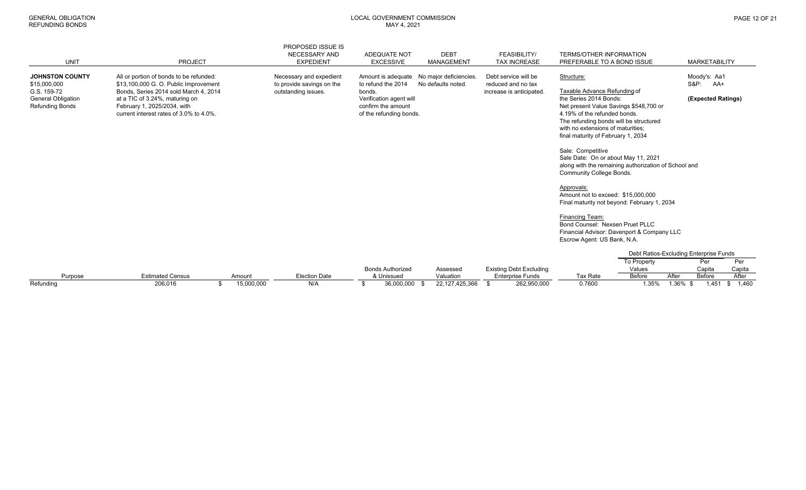|                                                                    |                                                                                                                                                   |            | PROPOSED ISSUE IS                                    |                                                                                    |                    |                                            |                                                                                                                                                                                                                                                                                                                                                                           |             |                                        |             |
|--------------------------------------------------------------------|---------------------------------------------------------------------------------------------------------------------------------------------------|------------|------------------------------------------------------|------------------------------------------------------------------------------------|--------------------|--------------------------------------------|---------------------------------------------------------------------------------------------------------------------------------------------------------------------------------------------------------------------------------------------------------------------------------------------------------------------------------------------------------------------------|-------------|----------------------------------------|-------------|
|                                                                    |                                                                                                                                                   |            | <b>NECESSARY AND</b>                                 | <b>ADEQUATE NOT</b>                                                                | <b>DEBT</b>        | FEASIBILITY/                               | <b>TERMS/OTHER INFORMATION</b>                                                                                                                                                                                                                                                                                                                                            |             |                                        |             |
| <b>UNIT</b>                                                        | <b>PROJECT</b>                                                                                                                                    |            | <b>EXPEDIENT</b>                                     | <b>EXCESSIVE</b>                                                                   | <b>MANAGEMENT</b>  | <b>TAX INCREASE</b>                        | PREFERABLE TO A BOND ISSUE                                                                                                                                                                                                                                                                                                                                                |             | <b>MARKETABILITY</b>                   |             |
| <b>JOHNSTON COUNTY</b><br>\$15,000,000                             | All or portion of bonds to be refunded:<br>\$13,100,000 G. O. Public Improvement                                                                  |            | Necessary and expedient<br>to provide savings on the | Amount is adequate  No major deficiencies.<br>to refund the 2014                   | No defaults noted. | Debt service will be<br>reduced and no tax | Structure:                                                                                                                                                                                                                                                                                                                                                                |             | Moody's: Aa1<br>$S&P$ :<br>AA+         |             |
| G.S. 159-72<br><b>General Obligation</b><br><b>Refunding Bonds</b> | Bonds, Series 2014 sold March 4, 2014<br>at a TIC of 3.24%, maturing on<br>February 1, 2025/2034, with<br>current interest rates of 3.0% to 4.0%. |            | outstanding issues.                                  | bonds.<br>Verification agent will<br>confirm the amount<br>of the refunding bonds. |                    | increase is anticipated.                   | Taxable Advance Refunding of<br>the Series 2014 Bonds:<br>Net present Value Savings \$548,700 or<br>4.19% of the refunded bonds.<br>The refunding bonds will be structured<br>with no extensions of maturities:<br>final maturity of February 1, 2034<br>Sale: Competitive<br>Sale Date: On or about May 11, 2021<br>along with the remaining authorization of School and |             | (Expected Ratings)                     |             |
|                                                                    |                                                                                                                                                   |            |                                                      |                                                                                    |                    |                                            | <b>Community College Bonds.</b><br>Approvals:<br>Amount not to exceed: \$15,000,000<br>Final maturity not beyond: February 1, 2034<br>Financing Team:<br>Bond Counsel: Nexsen Pruet PLLC                                                                                                                                                                                  |             |                                        |             |
|                                                                    |                                                                                                                                                   |            |                                                      |                                                                                    |                    |                                            | Financial Advisor: Davenport & Company LLC<br>Escrow Agent: US Bank, N.A.                                                                                                                                                                                                                                                                                                 |             |                                        |             |
|                                                                    |                                                                                                                                                   |            |                                                      |                                                                                    |                    |                                            |                                                                                                                                                                                                                                                                                                                                                                           |             | Debt Ratios-Excluding Enterprise Funds |             |
|                                                                    |                                                                                                                                                   |            |                                                      |                                                                                    |                    |                                            |                                                                                                                                                                                                                                                                                                                                                                           | To Property | Per                                    | Per         |
|                                                                    |                                                                                                                                                   |            |                                                      | <b>Bonds Authorized</b>                                                            | Assessed           | <b>Existing Debt Excluding</b>             |                                                                                                                                                                                                                                                                                                                                                                           | Values      | Capita                                 | Capita      |
| Purpose                                                            | <b>Estimated Census</b>                                                                                                                           | Amount     | <b>Election Date</b>                                 | & Unissued                                                                         | Valuation          | <b>Enterprise Funds</b>                    | Tax Rate                                                                                                                                                                                                                                                                                                                                                                  | Before      | After<br>Before                        | After       |
| Refundina                                                          | 206,016<br>\$                                                                                                                                     | 15,000,000 | N/A                                                  | 36,000,000<br>\$<br>- \$                                                           | 22,127,425,366     | 262,950,000<br>\$                          | 0.7600                                                                                                                                                                                                                                                                                                                                                                    | 1.35%       | 1.36%<br>1,451<br>- \$                 | 1.460<br>\$ |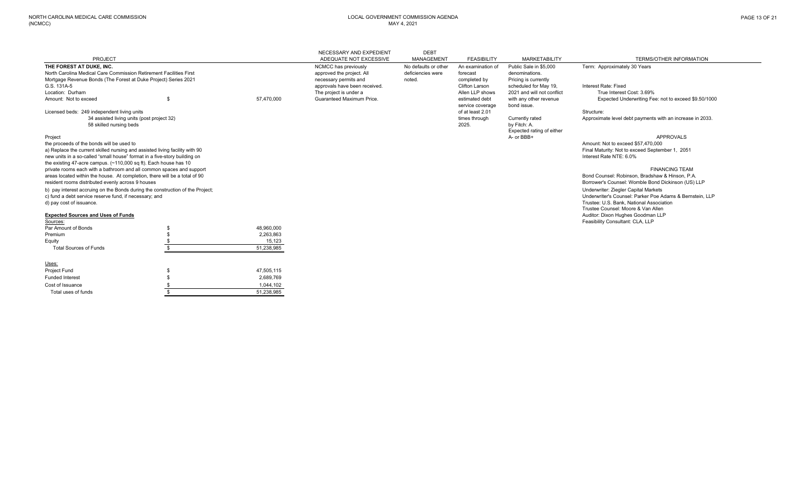Cost of Issuance

Total uses of funds

\$ 1,044,102

 $\overline{\text{1,238,985}}$ 

|                                                                                 |            | NECESSARY AND EXPEDIENT       | <b>DEBT</b>          |                       |                            |                                                           |
|---------------------------------------------------------------------------------|------------|-------------------------------|----------------------|-----------------------|----------------------------|-----------------------------------------------------------|
| PROJECT                                                                         |            | ADEQUATE NOT EXCESSIVE        | MANAGEMENT           | <b>FEASIBILITY</b>    | <b>MARKETABILITY</b>       | TERMS/OTHER INFORMATION                                   |
| THE FOREST AT DUKE, INC.                                                        |            | NCMCC has previously          | No defaults or other | An examination of     | Public Sale in \$5,000     | Term: Approximately 30 Years                              |
| North Carolina Medical Care Commission Retirement Facilities First              |            | approved the project. All     | deficiencies were    | forecast              | denominations.             |                                                           |
| Mortgage Revenue Bonds (The Forest at Duke Project) Series 2021                 |            | necessary permits and         | noted.               | completed by          | Pricing is currently       |                                                           |
| G.S. 131A-5                                                                     |            | approvals have been received. |                      | <b>Clifton Larson</b> | scheduled for May 19,      | Interest Rate: Fixed                                      |
| Location: Durham                                                                |            | The project is under a        |                      | Allen LLP shows       | 2021 and will not conflict | True Interest Cost: 3.69%                                 |
| Amount: Not to exceed                                                           | 57,470,000 | Guaranteed Maximum Price.     |                      | estimated debt        | with any other revenue     | Expected Underwriting Fee: not to exceed \$9.50/1000      |
|                                                                                 |            |                               |                      | service coverage      | bond issue.                |                                                           |
| Licensed beds: 249 independent living units                                     |            |                               |                      | of at least 2.01      |                            | Structure:                                                |
| 34 assisted living units (post project 32)                                      |            |                               |                      | times through         | Currently rated            | Approximate level debt payments with an increase in 2033. |
| 58 skilled nursing beds                                                         |            |                               |                      | 2025.                 | by Fitch: A.               |                                                           |
|                                                                                 |            |                               |                      |                       | Expected rating of either  |                                                           |
| Project                                                                         |            |                               |                      |                       | A- or BBB+                 | <b>APPROVALS</b>                                          |
| the proceeds of the bonds will be used to                                       |            |                               |                      |                       |                            | Amount: Not to exceed \$57,470,000                        |
| a) Replace the current skilled nursing and assisted living facility with 90     |            |                               |                      |                       |                            | Final Maturity: Not to exceed September 1, 2051           |
| new units in a so-called "small house" format in a five-story building on       |            |                               |                      |                       |                            | Interest Rate NTE: 6.0%                                   |
| the existing 47-acre campus. $(\sim 110,000 \text{ sq ft})$ . Each house has 10 |            |                               |                      |                       |                            |                                                           |
| private rooms each with a bathroom and all common spaces and support            |            |                               |                      |                       |                            | <b>FINANCING TEAM</b>                                     |
| areas located within the house. At completion, there will be a total of 90      |            |                               |                      |                       |                            | Bond Counsel: Robinson, Bradshaw & Hinson, P.A.           |
| resident rooms distributed evenly across 9 houses                               |            |                               |                      |                       |                            | Borrower's Counsel: Womble Bond Dickinson (US) LLP        |
| b) pay interest accruing on the Bonds during the construction of the Project;   |            |                               |                      |                       |                            | Underwriter: Ziegler Capital Markets                      |
| c) fund a debt service reserve fund, if necessary; and                          |            |                               |                      |                       |                            | Underwriter's Counsel: Parker Poe Adams & Bernstein, LLP  |
| d) pay cost of issuance.                                                        |            |                               |                      |                       |                            | Trustee: U.S. Bank. National Association                  |
|                                                                                 |            |                               |                      |                       |                            | Trustee Counsel: Moore & Van Allen                        |
| <b>Expected Sources and Uses of Funds</b>                                       |            |                               |                      |                       |                            | Auditor: Dixon Hughes Goodman LLP                         |
| Sources:                                                                        |            |                               |                      |                       |                            | Feasibility Consultant: CLA, LLP                          |
| Par Amount of Bonds                                                             | 48.960.000 |                               |                      |                       |                            |                                                           |
| Premium                                                                         | 2,263,863  |                               |                      |                       |                            |                                                           |
| Equity                                                                          | 15,123     |                               |                      |                       |                            |                                                           |
| <b>Total Sources of Funds</b>                                                   | 51,238,985 |                               |                      |                       |                            |                                                           |
| Uses:                                                                           |            |                               |                      |                       |                            |                                                           |
| <b>Project Fund</b>                                                             | 47.505.115 |                               |                      |                       |                            |                                                           |
| <b>Funded Interest</b>                                                          | 2.689.769  |                               |                      |                       |                            |                                                           |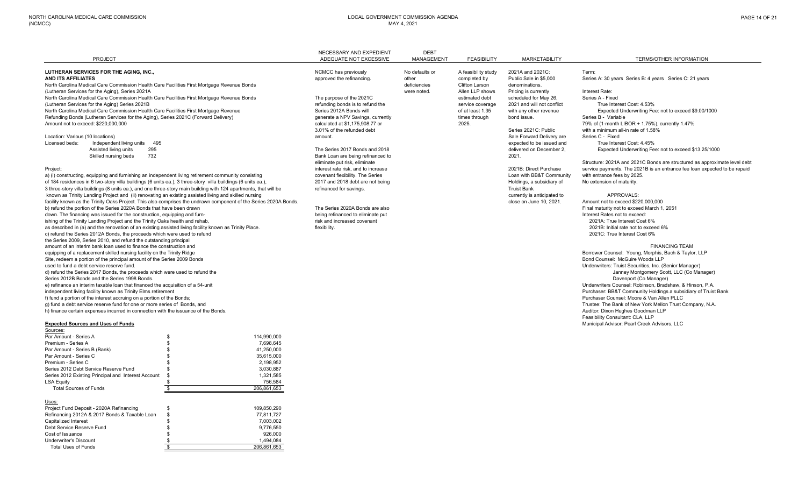|                                                                                                              |                                                                                                                  | NECESSARY AND EXPEDIENT             | <b>DEBT</b>       |                     |                                      |                                                                           |
|--------------------------------------------------------------------------------------------------------------|------------------------------------------------------------------------------------------------------------------|-------------------------------------|-------------------|---------------------|--------------------------------------|---------------------------------------------------------------------------|
| <b>PROJECT</b>                                                                                               |                                                                                                                  | ADEQUATE NOT EXCESSIVE              | <b>MANAGEMENT</b> | <b>FEASIBILITY</b>  | <b>MARKETABILITY</b>                 | TERMS/OTHER INFORMATION                                                   |
| LUTHERAN SERVICES FOR THE AGING, INC.,                                                                       |                                                                                                                  | NCMCC has previously                | No defaults or    | A feasibility study | 2021A and 2021C:                     | Term:                                                                     |
| AND ITS AFFILIATES                                                                                           |                                                                                                                  | approved the refinancing.           | other             | completed by        | Public Sale in \$5,000               | Series A: 30 years Series B: 4 years Series C: 21 years                   |
| North Carolina Medical Care Commission Health Care Facilities First Mortgage Revenue Bonds                   |                                                                                                                  |                                     | deficiencies      | Clifton Larson      | denominations.                       |                                                                           |
| (Lutheran Services for the Aging), Series 2021A                                                              |                                                                                                                  |                                     | were noted.       | Allen LLP shows     | Pricing is currently                 | Interest Rate:                                                            |
| North Carolina Medical Care Commission Health Care Facilities First Mortgage Revenue Bonds                   |                                                                                                                  | The purpose of the 2021C            |                   | estimated debt      | scheduled for May 26,                | Series A - Fixed                                                          |
| (Lutheran Services for the Aging) Series 2021B                                                               |                                                                                                                  | refunding bonds is to refund the    |                   | service coverage    | 2021 and will not conflict           | True Interest Cost: 4.53%                                                 |
| North Carolina Medical Care Commission Health Care Facilities First Mortgage Revenue                         |                                                                                                                  | Series 2012A Bonds will             |                   | of at least 1.35    | with any other revenue               | Expected Underwriting Fee: not to exceed \$9.00/1000                      |
| Refunding Bonds (Lutheran Services for the Aging), Series 2021C (Forward Delivery)                           |                                                                                                                  | generate a NPV Savings, currently   |                   | times through       | bond issue.                          | Series B - Variable                                                       |
| Amount not to exceed: \$220,000,000                                                                          |                                                                                                                  | calculated at \$1,175,908,77 or     |                   | 2025.               |                                      | 79% of (1-month LIBOR + 1.75%), currently 1.47%                           |
|                                                                                                              |                                                                                                                  | 3.01% of the refunded debt          |                   |                     | Series 2021C: Public                 | with a minimum all-in rate of 1.58%                                       |
| Location: Various (10 locations)                                                                             |                                                                                                                  | amount                              |                   |                     | Sale Forward Delivery are            | Series C - Fixed                                                          |
| Independent living units<br>495<br>Licensed beds:                                                            |                                                                                                                  |                                     |                   |                     | expected to be issued and            | True Interest Cost: 4.45%                                                 |
| 295<br>Assisted living units                                                                                 |                                                                                                                  | The Series 2017 Bonds and 2018      |                   |                     | delivered on December 2,             | Expected Underwriting Fee: not to exceed \$13.25/1000                     |
| 732<br>Skilled nursing beds                                                                                  |                                                                                                                  | Bank Loan are being refinanced to   |                   |                     | 2021.                                |                                                                           |
|                                                                                                              |                                                                                                                  | eliminate put risk, eliminate       |                   |                     |                                      | Structure: 2021A and 2021C Bonds are structured as approximate level debt |
| Project:                                                                                                     |                                                                                                                  | interest rate risk, and to increase |                   |                     | 2021B: Direct Purchase               | service payments. The 2021B is an entrance fee loan expected to be repaid |
| a) (i) constructing, equipping and furnishing an independent living retirement community consisting          |                                                                                                                  | covenant flexibility. The Series    |                   |                     | Loan with BB&T Community             | with entrance fees by 2025.                                               |
| of 184 residences in 6 two-story villa buildings (6 units ea.), 3 three-story villa buildings (6 units ea.), |                                                                                                                  | 2017 and 2018 debt are not being    |                   |                     | Holdings, a subsidiary of            | No extension of maturity.                                                 |
|                                                                                                              | 3 three-story villa buildings (8 units ea.), and one three-story main building with 124 apartments, that will be | refinanced for savings.             |                   |                     | <b>Truist Bank</b>                   |                                                                           |
| known as Trinity Landing Project and (ii) renovating an existing assisted living and skilled nursing         |                                                                                                                  |                                     |                   |                     | currently is anticipated to          | APPROVALS:                                                                |
|                                                                                                              | facility known as the Trinity Oaks Project. This also comprises the undrawn component of the Series 2020A Bonds. |                                     |                   |                     | close on June 10, 2021.              | Amount not to exceed \$220,000,000                                        |
| b) refund the portion of the Series 2020A Bonds that have been drawn                                         |                                                                                                                  | The Series 2020A Bonds are also     |                   |                     |                                      | Final maturity not to exceed March 1, 2051                                |
| down. The financing was issued for the construction, equipping and furn-                                     | being refinanced to eliminate put                                                                                |                                     |                   |                     | Interest Rates not to exceed:        |                                                                           |
| ishing of the Trinity Landing Project and the Trinity Oaks health and rehab,                                 |                                                                                                                  | risk and increased covenant         |                   |                     |                                      | 2021A: True Interest Cost 6%                                              |
| as described in (a) and the renovation of an existing assisted living facility known as Trinity Place.       | flexibility.                                                                                                     |                                     |                   |                     | 2021B: Initial rate not to exceed 6% |                                                                           |
| c) refund the Series 2012A Bonds, the proceeds which were used to refund                                     |                                                                                                                  |                                     |                   |                     |                                      | 2021C: True Interest Cost 6%                                              |
| the Series 2009, Series 2010, and refund the outstanding principal                                           |                                                                                                                  |                                     |                   |                     |                                      |                                                                           |
| amount of an interim bank loan used to finance the construction and                                          |                                                                                                                  |                                     |                   |                     |                                      | <b>FINANCING TEAM</b>                                                     |
| equipping of a replacement skilled nursing facility on the Trinity Ridge                                     |                                                                                                                  |                                     |                   |                     |                                      | Borrower Counsel: Young, Morphis, Bach & Taylor, LLP                      |
| Site, redeem a portion of the principal amount of the Series 2009 Bonds                                      |                                                                                                                  |                                     |                   |                     |                                      | Bond Counsel: McGuire Woods LLP                                           |
| used to fund a debt service reserve fund.                                                                    |                                                                                                                  |                                     |                   |                     |                                      | Underwriters: Truist Securities, Inc. (Senior Manager)                    |
| d) refund the Series 2017 Bonds, the proceeds which were used to refund the                                  |                                                                                                                  |                                     |                   |                     |                                      | Janney Montgomery Scott, LLC (Co Manager)                                 |
| Series 2012B Bonds and the Series 1998 Bonds.                                                                |                                                                                                                  |                                     |                   |                     |                                      | Davenport (Co Manager)                                                    |
| e) refinance an interim taxable loan that financed the acquisition of a 54-unit                              |                                                                                                                  |                                     |                   |                     |                                      | Underwriters Counsel: Robinson, Bradshaw, & Hinson, P.A.                  |
| independent living facility known as Trinity Elms retirement                                                 |                                                                                                                  |                                     |                   |                     |                                      | Purchaser: BB&T Community Holdings a subsidiary of Truist Bank            |
| f) fund a portion of the interest accruing on a portion of the Bonds;                                        |                                                                                                                  |                                     |                   |                     |                                      | Purchaser Counsel: Moore & Van Allen PLLC                                 |
| g) fund a debt service reserve fund for one or more series of Bonds, and                                     |                                                                                                                  |                                     |                   |                     |                                      | Trustee: The Bank of New York Mellon Trust Company, N.A.                  |
| h) finance certain expenses incurred in connection with the issuance of the Bonds.                           |                                                                                                                  |                                     |                   |                     |                                      | Auditor: Dixon Hughes Goodman LLP                                         |
|                                                                                                              |                                                                                                                  |                                     |                   |                     |                                      | Feasibility Consultant: CLA, LLP                                          |
| <b>Expected Sources and Uses of Funds</b>                                                                    |                                                                                                                  |                                     |                   |                     |                                      | Municipal Advisor: Pearl Creek Advisors, LLC                              |
| Sources:                                                                                                     |                                                                                                                  |                                     |                   |                     |                                      |                                                                           |
| Par Amount - Series A                                                                                        | 114,990,000<br>\$                                                                                                |                                     |                   |                     |                                      |                                                                           |
| Premium - Series A                                                                                           | $\mathfrak{L}$<br>7.698.645                                                                                      |                                     |                   |                     |                                      |                                                                           |
| Par Amount - Series B (Bank)                                                                                 | $\mathbf{\hat{s}}$<br>41,250,000                                                                                 |                                     |                   |                     |                                      |                                                                           |
| Par Amount - Series C                                                                                        | 35,615,000                                                                                                       |                                     |                   |                     |                                      |                                                                           |
| Premium - Series C                                                                                           | 2,198,952                                                                                                        |                                     |                   |                     |                                      |                                                                           |
| Series 2012 Debt Service Reserve Fund                                                                        | 3.030.887                                                                                                        |                                     |                   |                     |                                      |                                                                           |
| Series 2012 Existing Principal and Interest Account                                                          | 1,321,585<br>. ድ                                                                                                 |                                     |                   |                     |                                      |                                                                           |
| <b>LSA Equity</b>                                                                                            | 756,584                                                                                                          |                                     |                   |                     |                                      |                                                                           |
| <b>Total Sources of Funds</b>                                                                                | $\mathbf{\hat{s}}$<br>206,861,653                                                                                |                                     |                   |                     |                                      |                                                                           |
|                                                                                                              |                                                                                                                  |                                     |                   |                     |                                      |                                                                           |

| Uses:                                         |             |
|-----------------------------------------------|-------------|
| Project Fund Deposit - 2020A Refinancing      | 109.850.290 |
| Refinancing 2012A & 2017 Bonds & Taxable Loan | 77.811.727  |
| Capitalized Interest                          | 7.003.002   |
| Debt Service Reserve Fund                     | 9.776.550   |
| Cost of Issuance                              | 926.000     |
| Underwriter's Discount                        | 1.494.084   |
| Total Uses of Funds                           | 206,861,653 |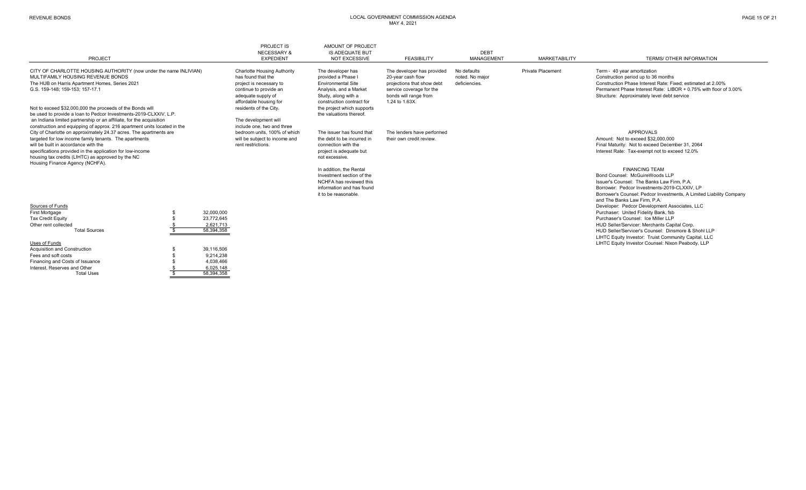| PROJECT                                                                                                                                                                                                                                                                                                                                                                                                                                                                          |  |                                                                 | PROJECT IS<br><b>NECESSARY &amp;</b><br><b>EXPEDIENT</b>                                                                                                                                                                                      | AMOUNT OF PROJECT<br><b>IS ADEQUATE BUT</b><br><b>NOT EXCESSIVE</b>                                                                                                                                         | <b>FEASIBILITY</b>                                                                                                                                   | <b>DEBT</b><br><b>MANAGEMENT</b>                | <b>MARKETABILITY</b>     | <b>TERMS/ OTHER INFORMATION</b>                                                                                                                                                                                                                                                             |
|----------------------------------------------------------------------------------------------------------------------------------------------------------------------------------------------------------------------------------------------------------------------------------------------------------------------------------------------------------------------------------------------------------------------------------------------------------------------------------|--|-----------------------------------------------------------------|-----------------------------------------------------------------------------------------------------------------------------------------------------------------------------------------------------------------------------------------------|-------------------------------------------------------------------------------------------------------------------------------------------------------------------------------------------------------------|------------------------------------------------------------------------------------------------------------------------------------------------------|-------------------------------------------------|--------------------------|---------------------------------------------------------------------------------------------------------------------------------------------------------------------------------------------------------------------------------------------------------------------------------------------|
| CITY OF CHARLOTTE HOUSING AUTHORITY (now under the name INLIVIAN)<br>MULTIFAMILY HOUSING REVENUE BONDS<br>The HUB on Harris Apartment Homes, Series 2021<br>G.S. 159-148: 159-153: 157-17.1<br>Not to exceed \$32,000,000 the proceeds of the Bonds will<br>be used to provide a loan to Pedcor Investments-2019-CLXXIV, L.P.<br>an Indiana limited partnership or an affiliate, for the acquisition<br>construction and equipping of approx. 216 apartment units located in the |  |                                                                 | <b>Charlotte Housing Authority</b><br>has found that the<br>project is necessary to<br>continue to provide an<br>adequate supply of<br>affordable housing for<br>residents of the City.<br>The development will<br>include one, two and three | The developer has<br>provided a Phase I<br><b>Environmental Site</b><br>Analysis, and a Market<br>Study, along with a<br>construction contract for<br>the project which supports<br>the valuations thereof. | The developer has provided<br>20-year cash flow<br>projections that show debt<br>service coverage for the<br>bonds will range from<br>1.24 to 1.63X. | No defaults<br>noted. No major<br>deficiencies. | <b>Private Placement</b> | Term - 40 year amortization<br>Construction period up to 36 months<br>Construction Phase Interest Rate: Fixed: estimated at 2.00%<br>Permanent Phase Interest Rate: LIBOR + 0.75% with floor of 3.00%<br>Structure: Approximately level debt service                                        |
| City of Charlotte on approximately 24.37 acres. The apartments are<br>targeted for low income family tenants. The apartments<br>will be built in accordance with the<br>specifications provided in the application for low-income<br>housing tax credits (LIHTC) as approved by the NC<br>Housing Finance Agency (NCHFA).                                                                                                                                                        |  |                                                                 | bedroom units, 100% of which<br>will be subject to income and<br>rent restrictions.                                                                                                                                                           | The issuer has found that<br>the debt to be incurred in<br>connection with the<br>project is adequate but<br>not excessive.                                                                                 | The lenders have performed<br>their own credit review.                                                                                               |                                                 |                          | <b>APPROVALS</b><br>Amount: Not to exceed \$32,000,000<br>Final Maturity: Not to exceed December 31, 2064<br>Interest Rate: Tax-exempt not to exceed 12.0%                                                                                                                                  |
|                                                                                                                                                                                                                                                                                                                                                                                                                                                                                  |  |                                                                 |                                                                                                                                                                                                                                               | In addition, the Rental<br>Investment section of the<br>NCHFA has reviewed this<br>information and has found<br>it to be reasonable.                                                                        |                                                                                                                                                      |                                                 |                          | <b>FINANCING TEAM</b><br>Bond Counsel: McGuireWoods LLP<br>Issuer's Counsel: The Banks Law Firm, P.A.<br>Borrower: Pedcor Investments-2019-CLXXIV, LP<br>Borrower's Counsel: Pedcor Investments, A Limited Liability Company<br>and The Banks Law Firm, P.A.                                |
| Sources of Funds<br><b>First Mortgage</b><br><b>Tax Credit Equity</b><br>Other rent collected<br><b>Total Sources</b>                                                                                                                                                                                                                                                                                                                                                            |  | 32,000,000<br>23,772,645<br>2.621.713<br>58,394,358             |                                                                                                                                                                                                                                               |                                                                                                                                                                                                             |                                                                                                                                                      |                                                 |                          | Developer: Pedcor Development Associates, LLC<br>Purchaser: United Fidelity Bank, fsb<br>Purchaser's Counsel: Ice Miller LLP<br>HUD Seller/Servicer: Merchants Capital Corp.<br>HUD Seller/Servicer's Counsel: Dinsmore & Shohl LLP<br>LIHTC Equity Investor: Truist Community Capital, LLC |
| Uses of Funds<br><b>Acquisition and Construction</b><br>Fees and soft costs<br>Financing and Costs of Issuance<br>Interest. Reserves and Other<br><b>Total Uses</b>                                                                                                                                                                                                                                                                                                              |  | 39,116,506<br>9,214,238<br>4,038,466<br>6,025,148<br>58.394.358 |                                                                                                                                                                                                                                               |                                                                                                                                                                                                             |                                                                                                                                                      |                                                 |                          | LIHTC Equity Investor Counsel: Nixon Peabody, LLP                                                                                                                                                                                                                                           |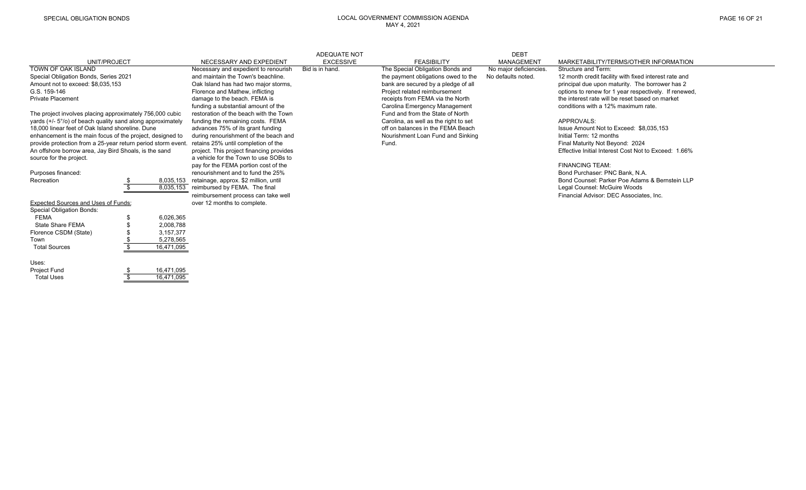|                                                              |  |            |                                          | <b>ADEQUATE NOT</b> |                                       | <b>DEBT</b>            |                                                       |
|--------------------------------------------------------------|--|------------|------------------------------------------|---------------------|---------------------------------------|------------------------|-------------------------------------------------------|
| UNIT/PROJECT                                                 |  |            | NECESSARY AND EXPEDIENT                  | <b>EXCESSIVE</b>    | <b>FEASIBILITY</b>                    | MANAGEMENT             | MARKETABILITY/TERMS/OTHER INFORMATION                 |
| TOWN OF OAK ISLAND                                           |  |            | Necessary and expedient to renourish     | Bid is in hand.     | The Special Obligation Bonds and      | No major deficiencies. | Structure and Term:                                   |
| Special Obligation Bonds, Series 2021                        |  |            | and maintain the Town's beachline.       |                     | the payment obligations owed to the   | No defaults noted.     | 12 month credit facility with fixed interest rate and |
| Amount not to exceed: \$8,035,153                            |  |            | Oak Island has had two major storms,     |                     | bank are secured by a pledge of all   |                        | principal due upon maturity. The borrower has 2       |
| G.S. 159-146                                                 |  |            | Florence and Mathew, inflicting          |                     | Project related reimbursement         |                        | options to renew for 1 year respectively. If renewed, |
| <b>Private Placement</b>                                     |  |            | damage to the beach. FEMA is             |                     | receipts from FEMA via the North      |                        | the interest rate will be reset based on market       |
|                                                              |  |            | funding a substantial amount of the      |                     | Carolina Emergency Management         |                        | conditions with a 12% maximum rate.                   |
| The project involves placing approximately 756,000 cubic     |  |            | restoration of the beach with the Town   |                     | Fund and from the State of North      |                        |                                                       |
| yards (+/- 5°/o) of beach quality sand along approximately   |  |            | funding the remaining costs. FEMA        |                     | Carolina, as well as the right to set |                        | APPROVALS:                                            |
| 18,000 linear feet of Oak Island shoreline. Dune             |  |            | advances 75% of its grant funding        |                     | off on balances in the FEMA Beach     |                        | Issue Amount Not to Exceed: \$8,035,153               |
| enhancement is the main focus of the project, designed to    |  |            | during renourishment of the beach and    |                     | Nourishment Loan Fund and Sinking     |                        | Initial Term: 12 months                               |
| provide protection from a 25-year return period storm event. |  |            | retains 25% until completion of the      |                     | Fund.                                 |                        | Final Maturity Not Beyond: 2024                       |
| An offshore borrow area, Jay Bird Shoals, is the sand        |  |            | project. This project financing provides |                     |                                       |                        | Effective Initial Interest Cost Not to Exceed: 1.66%  |
| source for the project.                                      |  |            | a vehicle for the Town to use SOBs to    |                     |                                       |                        |                                                       |
|                                                              |  |            | pay for the FEMA portion cost of the     |                     |                                       |                        | <b>FINANCING TEAM:</b>                                |
| Purposes financed:                                           |  |            | renourishment and to fund the 25%        |                     |                                       |                        | Bond Purchaser: PNC Bank, N.A.                        |
| Recreation                                                   |  | 8,035,153  | retainage, approx. \$2 million, until    |                     |                                       |                        | Bond Counsel: Parker Poe Adams & Bernstein LLP        |
|                                                              |  | 8,035,153  | reimbursed by FEMA. The final            |                     |                                       |                        | Legal Counsel: McGuire Woods                          |
|                                                              |  |            | reimbursement process can take well      |                     |                                       |                        | Financial Advisor: DEC Associates, Inc.               |
| <b>Expected Sources and Uses of Funds:</b>                   |  |            | over 12 months to complete.              |                     |                                       |                        |                                                       |
| <b>Special Obligation Bonds:</b>                             |  |            |                                          |                     |                                       |                        |                                                       |
| <b>FEMA</b>                                                  |  | 6,026,365  |                                          |                     |                                       |                        |                                                       |
| State Share FEMA                                             |  | 2,008,788  |                                          |                     |                                       |                        |                                                       |
| Florence CSDM (State)                                        |  | 3,157,377  |                                          |                     |                                       |                        |                                                       |
| Town                                                         |  | 5,278,565  |                                          |                     |                                       |                        |                                                       |
| <b>Total Sources</b>                                         |  | 16,471,095 |                                          |                     |                                       |                        |                                                       |
| Uses:                                                        |  |            |                                          |                     |                                       |                        |                                                       |
| <b>Project Fund</b>                                          |  | 16,471,095 |                                          |                     |                                       |                        |                                                       |
| <b>Total Uses</b>                                            |  | 16,471,095 |                                          |                     |                                       |                        |                                                       |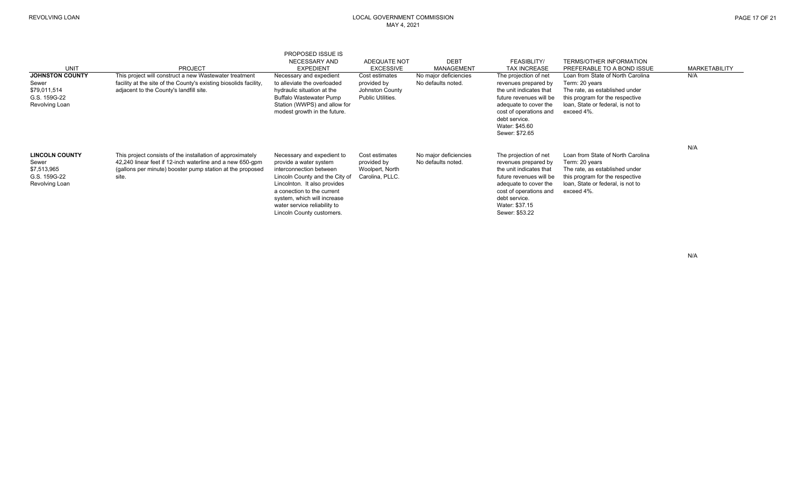| PAGE 17 OF 21 |  |  |  |
|---------------|--|--|--|
|---------------|--|--|--|

| <b>UNIT</b>                                                                       | <b>PROJECT</b>                                                                                                                                                                                | <b>PROPOSED ISSUE IS</b><br>NECESSARY AND<br><b>EXPEDIENT</b>                                                                                                                                                                                                               | <b>ADEQUATE NOT</b><br><b>EXCESSIVE</b>                               | <b>DEBT</b><br><b>MANAGEMENT</b>            | FEASIBLITY/<br><b>TAX INCREASE</b>                                                                                                                                                                          | <b>TERMS/OTHER INFORMATION</b><br>PREFERABLE TO A BOND ISSUE                                                                                                                | <b>MARKETABILITY</b> |
|-----------------------------------------------------------------------------------|-----------------------------------------------------------------------------------------------------------------------------------------------------------------------------------------------|-----------------------------------------------------------------------------------------------------------------------------------------------------------------------------------------------------------------------------------------------------------------------------|-----------------------------------------------------------------------|---------------------------------------------|-------------------------------------------------------------------------------------------------------------------------------------------------------------------------------------------------------------|-----------------------------------------------------------------------------------------------------------------------------------------------------------------------------|----------------------|
| <b>JOHNSTON COUNTY</b><br>Sewer<br>\$79,011,514<br>G.S. 159G-22<br>Revolving Loan | This project will construct a new Wastewater treatment<br>facility at the site of the County's existing biosolids facility,<br>adjacent to the County's landfill site.                        | Necessary and expedient<br>to alleviate the overloaded<br>hydraulic situation at the<br><b>Buffalo Wastewater Pump</b><br>Station (WWPS) and allow for<br>modest growth in the future.                                                                                      | Cost estimates<br>provided by<br>Johnston County<br>Public Utilities. | No major deficiencies<br>No defaults noted. | The projection of net<br>revenues prepared by<br>the unit indicates that<br>future revenues will be<br>adequate to cover the<br>cost of operations and<br>debt service.<br>Water: \$45.60<br>Sewer: \$72.65 | Loan from State of North Carolina<br>Term: 20 years<br>The rate, as established under<br>this program for the respective<br>loan, State or federal, is not to<br>exceed 4%. | N/A                  |
| <b>LINCOLN COUNTY</b><br>Sewer<br>\$7,513,965<br>G.S. 159G-22<br>Revolving Loan   | This project consists of the installation of approximately<br>42,240 linear feet if 12-inch waterline and a new 650-gpm<br>(gallons per minute) booster pump station at the proposed<br>site. | Necessary and expedient to<br>provide a water system<br>interconnection between<br>Lincoln County and the City of<br>Lincolnton. It also provides<br>a conection to the current<br>system, which will increase<br>water service reliability to<br>Lincoln County customers. | Cost estimates<br>provided by<br>Woolpert, North<br>Carolina, PLLC.   | No major deficiencies<br>No defaults noted. | The projection of net<br>revenues prepared by<br>the unit indicates that<br>future revenues will be<br>adequate to cover the<br>cost of operations and<br>debt service.<br>Water: \$37.15<br>Sewer: \$53.22 | Loan from State of North Carolina<br>Term: 20 years<br>The rate, as established under<br>this program for the respective<br>loan, State or federal, is not to<br>exceed 4%. | N/A                  |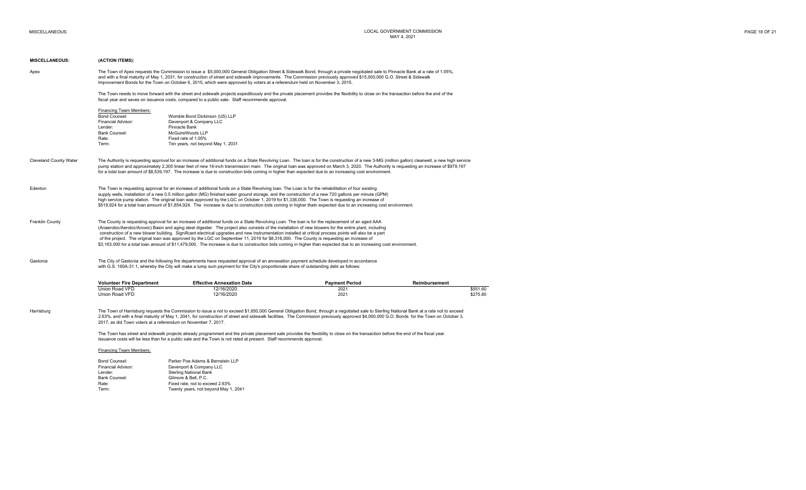| <b>MISCELLANEOUS:</b>         | (ACTION ITEMS):                                                                                                                                                                                                                                                                                                                                                                                                                                                                                                                                                                                                                    |                                                                                                                                                                                                                                                                                                                                                                                                                                                                                                                                                                                                                                                                                                                                                                                          |                       |               |                      |  |  |  |  |
|-------------------------------|------------------------------------------------------------------------------------------------------------------------------------------------------------------------------------------------------------------------------------------------------------------------------------------------------------------------------------------------------------------------------------------------------------------------------------------------------------------------------------------------------------------------------------------------------------------------------------------------------------------------------------|------------------------------------------------------------------------------------------------------------------------------------------------------------------------------------------------------------------------------------------------------------------------------------------------------------------------------------------------------------------------------------------------------------------------------------------------------------------------------------------------------------------------------------------------------------------------------------------------------------------------------------------------------------------------------------------------------------------------------------------------------------------------------------------|-----------------------|---------------|----------------------|--|--|--|--|
| Apex                          |                                                                                                                                                                                                                                                                                                                                                                                                                                                                                                                                                                                                                                    | The Town of Apex requests the Commission to issue a \$5,000,000 General Obligation Street & Sidewalk Bond, through a private negotiated sale to Pinnacle Bank at a rate of 1.05%,<br>and with a final maturity of May 1, 2031, for construction of street and sidewalk improvements. The Commission previously approved \$15,000,000 G.O. Street & Sidewalk<br>Improvement Bonds for the Town on October 6, 2015, which were approved by voters at a referendum held on November 3, 2015.                                                                                                                                                                                                                                                                                                |                       |               |                      |  |  |  |  |
|                               | The Town needs to move forward with the street and sidewalk projects expeditiously and the private placement provides the flexibility to close on the transaction before the end of the<br>fiscal year and saves on issuance costs, compared to a public sale. Staff recommends approval.                                                                                                                                                                                                                                                                                                                                          |                                                                                                                                                                                                                                                                                                                                                                                                                                                                                                                                                                                                                                                                                                                                                                                          |                       |               |                      |  |  |  |  |
|                               | Financing Team Members:<br>Bond Counsel:<br>Financial Advisor:<br>Lender:<br>Bank Counsel:<br>Rate:<br>Term:                                                                                                                                                                                                                                                                                                                                                                                                                                                                                                                       | Womble Bond Dickinson (US) LLP<br>Davenport & Company LLC<br>Pinnacle Bank<br>McGuireWoods LLP<br>Fixed rate of 1.05%<br>Ten years, not beyond May 1, 2031                                                                                                                                                                                                                                                                                                                                                                                                                                                                                                                                                                                                                               |                       |               |                      |  |  |  |  |
|                               |                                                                                                                                                                                                                                                                                                                                                                                                                                                                                                                                                                                                                                    |                                                                                                                                                                                                                                                                                                                                                                                                                                                                                                                                                                                                                                                                                                                                                                                          |                       |               |                      |  |  |  |  |
| <b>Cleveland County Water</b> | The Authority is requesting approval for an increase of additional funds on a State Revolving Loan. The loan is for the construction of a new 3-MG (million gallon) clearwell, a new high service<br>pump station and approximately 2,300 linear feet of new 16-inch transmission main. The original loan was approved on March 3, 2020. The Authority is requesting an increase of \$979,197<br>for a total loan amount of \$8,539,197. The increase is due to construction bids coming in higher than expected due to an increasing cost environment.                                                                            |                                                                                                                                                                                                                                                                                                                                                                                                                                                                                                                                                                                                                                                                                                                                                                                          |                       |               |                      |  |  |  |  |
| Edenton                       | The Town is requesting approval for an increase of additional funds on a State Revolving loan. The Loan is for the rehabilitation of four existing<br>supply wells, installation of a new 0.5 million gallon (MG) finished water ground storage, and the construction of a new 720 gallons per minute (GPM)<br>high service pump station. The original loan was approved by the LGC on October 1, 2019 for \$1,336,000. The Town is requesting an increase of<br>\$518,924 for a total loan amount of \$1,854,924. The increase is due to construction bids coming in higher thatn expected due to an increasing cost environment. |                                                                                                                                                                                                                                                                                                                                                                                                                                                                                                                                                                                                                                                                                                                                                                                          |                       |               |                      |  |  |  |  |
| Franklin County               |                                                                                                                                                                                                                                                                                                                                                                                                                                                                                                                                                                                                                                    | The County is requesting approval for an increase of additional funds on a State Revolving Loan. The loan is for the replacement of an aged AAA<br>(Anaerobic/Aerobic/Anoxic) Basin and aging steel digester. The project also consists of the installation of new blowers for the entire plant, including<br>construction of a new blower building. Significant electrical upgrades and new instrumentation installed at critical process points will also be a part<br>of the project. The original loan was approved by the LGC on September 11, 2019 for \$8,316,000. The County is requesting an increase of<br>\$3,163,000 for a total loan amount of \$11,479,000. The increase is due to construction bids coming in higher than expected due to an increasing cost environment. |                       |               |                      |  |  |  |  |
| Gastonia                      |                                                                                                                                                                                                                                                                                                                                                                                                                                                                                                                                                                                                                                    | The City of Gastonia and the following fire departments have requested approval of an annexation payment schedule developed in accordance<br>with G.S. 160A-31.1, whereby the City will make a lump sum payment for the City's proportionate share of outstanding debt as follows:                                                                                                                                                                                                                                                                                                                                                                                                                                                                                                       |                       |               |                      |  |  |  |  |
|                               | <b>Volunteer Fire Department</b>                                                                                                                                                                                                                                                                                                                                                                                                                                                                                                                                                                                                   | <b>Effective Annexation Date</b>                                                                                                                                                                                                                                                                                                                                                                                                                                                                                                                                                                                                                                                                                                                                                         | <b>Payment Period</b> | Reimbursement |                      |  |  |  |  |
|                               | Union Road VFD<br>Union Road VFD                                                                                                                                                                                                                                                                                                                                                                                                                                                                                                                                                                                                   | 12/16/2020<br>12/16/2020                                                                                                                                                                                                                                                                                                                                                                                                                                                                                                                                                                                                                                                                                                                                                                 | 2021<br>2021          |               | \$551.60<br>\$275.80 |  |  |  |  |
| Harrisburg                    | The Town of Harrisburg requests the Commission to issue a not to exceed \$1,650,000 General Obligation Bond, through a negotiated sale to Sterling National Bank at a rate not to exceed<br>2.63%, and with a final maturity of May 1, 2041, for construction of street and sidewalk facilities. The Commission previously approved \$4,000,000 G.O. Bonds for the Town on October 3,<br>2017, as did Town voters at a referendum on November 7, 2017.                                                                                                                                                                             |                                                                                                                                                                                                                                                                                                                                                                                                                                                                                                                                                                                                                                                                                                                                                                                          |                       |               |                      |  |  |  |  |
|                               | The Town has street and sidewalk projects already programmed and the private placement sale provides the flexibility to close on the transaction before the end of the fiscal year.<br>Issuance costs will be less than for a public sale and the Town is not rated at present. Staff recommends approval.                                                                                                                                                                                                                                                                                                                         |                                                                                                                                                                                                                                                                                                                                                                                                                                                                                                                                                                                                                                                                                                                                                                                          |                       |               |                      |  |  |  |  |
|                               | Financing Team Members:                                                                                                                                                                                                                                                                                                                                                                                                                                                                                                                                                                                                            |                                                                                                                                                                                                                                                                                                                                                                                                                                                                                                                                                                                                                                                                                                                                                                                          |                       |               |                      |  |  |  |  |
|                               | <b>Bond Counsel:</b><br>Financial Advisor:<br>Lender:<br>Bank Counsel:<br>Rate:                                                                                                                                                                                                                                                                                                                                                                                                                                                                                                                                                    | Parker Poe Adams & Bernstein LLP<br>Davenport & Company LLC<br><b>Sterling National Bank</b><br>Gilmore & Bell, P.C.<br>Fixed rate, not to exceed 2.63%                                                                                                                                                                                                                                                                                                                                                                                                                                                                                                                                                                                                                                  |                       |               |                      |  |  |  |  |
|                               | Term:                                                                                                                                                                                                                                                                                                                                                                                                                                                                                                                                                                                                                              | Twenty years, not beyond May 1, 2041                                                                                                                                                                                                                                                                                                                                                                                                                                                                                                                                                                                                                                                                                                                                                     |                       |               |                      |  |  |  |  |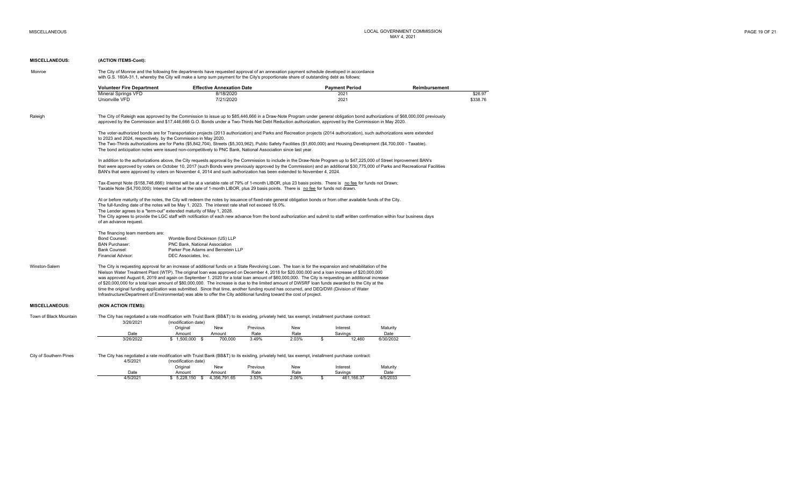## **MISCELLANEOUS: (ACTION ITEMS-Cont):**

| Monroe | The City of Monroe and the following fire departments have requested approval of an annexation payment schedule developed in accordance |
|--------|-----------------------------------------------------------------------------------------------------------------------------------------|
|        | with G.S. 160A-31.1, whereby the City will make a lump sum payment for the City's proportionate share of outstanding debt as follows:   |

| Volunteer Fire Department | <b>Effective Annexation Date</b> | <b>Pavment Period</b> | Reimbursement |
|---------------------------|----------------------------------|-----------------------|---------------|
| Mineral<br>Springs VFD    | 8/18/2020                        | 2021                  | \$26.97       |
| Unionville VFD            | 7/21/2020                        | $202 -$               | \$338.76      |

Raleigh The City of Raleigh was approved by the Commission to issue up to \$85,446,666 in a Draw-Note Program under general obligation bond authorizations of \$68,000,000 previously approved by the Commission and \$17,446,666 G.O. Bonds under a Two-Thirds Net Debt Reduction authorization, approved by the Commission in May 2020.

> The voter-authorized bonds are for Transportation projects (2013 authorization) and Parks and Recreation projects (2014 authorization), such authorizations were extended to 2023 and 2024, respectively, by the Commission in May 2020.

The Two-Thirds authorizations are for Parks (\$5,842,704), Streets (\$5,303,962), Public Safety Facilities (\$1,600,000) and Housing Development (\$4,700,000 - Taxable). The bond anticipation notes were issued non-competitively to PNC Bank, National Association since last year.

In addition to the authorizations above, the City requests approval by the Commission to include in the Draw-Note Program up to \$47,225,000 of Street Inprovement BAN's that were approved by voters on October 10, 2017 (such Bonds were previously approved by the Commission) and an additional \$30,775,000 of Parks and Recreational Facilities BAN's that were approved by voters on November 4, 2014 and such authorization has been extended to November 4, 2024.

Tax-Exempt Note (\$158,746,666): Interest will be at a variable rate of 79% of 1-month LIBOR, plus 23 basis points. There is no fee for funds not Drawn; Taxable Note (\$4,700,000): Interest will be at the rate of 1-month LIBOR, plus 29 basis points. There is no fee for funds not drawn.

At or before maturity of the notes, the City will redeem the notes by issuance of fixed-rate general obligation bonds or from other available funds of the City. The full-funding date of the notes will be May 1, 2023. The interest rate shall not exceed 18.0%. The Lender agrees to a "term-out" extended maturity of May 1, 2028. The City agrees to provide the LGC staff with notification of each new advance from the bond authorization and submit to staff written confirmation within four business days of an advance request.

# The financing team members are:<br>Bond Counsel:

| The imanding team members are. |                                       |
|--------------------------------|---------------------------------------|
| Bond Counsel:                  | Womble Bond Dickinson (US) LLP        |
| <b>BAN Purchaser:</b>          | <b>PNC Bank, National Association</b> |
| Bank Counsel:                  | Parker Poe Adams and Bernstein LLP    |
| Financial Advisor:             | DEC Associates, Inc.                  |

Winston-Salem The City is requesting approval for an increase of additional funds on a State Revolving Loan. The loan is for the expansion and rehabilitation of the Nielson Water Treatment Plant (WTP). The original loan was approved on December 4, 2018 for \$20,000,000 and a loan increase of \$20,000,000 was approved August 6, 2019 and again on September 1. 2020 for a total loan amount of \$60,000,000. The City is requesting an additional increase of \$20,000,000 for a total loan amount of \$80,000,000. The increase is due to the limited amount of DWSRF loan funds awarded to the City at the time the original funding application was submitted. Since that time, another funding round has occurred, and DEQ/DWI (Division of Water Infrastructure/Department of Environmental) was able to offer the City additional funding toward the cost of project.

#### **MISCELLANEOUS: (NON ACTION ITEMS):**

Town of Black Mountain The City has negotiated a rate modification with Truist Bank (BB&T) to its existing, privately held, tax exempt, installment purchase contract: 3/26/2021 (modification date) Original New Previous New Interest Maturity Date Amount Amount Rate Rate Savings Date 3/26/2022 1,500,000 \$ 700,000 \$ 3.49% 2.03% 12,460 \$ 6/30/2032

City of Southern Pines The City has negotiated a rate modification with Truist Bank (BB&T) to its existing, privately held, tax exempt, installment purchase contract:

| 4/5/2021 | (modification date)     |              |          |       |  |                |          |  |  |  |  |
|----------|-------------------------|--------------|----------|-------|--|----------------|----------|--|--|--|--|
|          | Original                | New          | Previous | New   |  | Interest       | Maturity |  |  |  |  |
| Date     | Amount                  | Amount       | Rate     | Rate  |  | Savings        | Date     |  |  |  |  |
| 4/5/2021 | .150<br>5.228<br>J.ZZU. | 4.356.791.65 | 3.53%    | 2.06% |  | 166.37<br>461. | 4/5/2033 |  |  |  |  |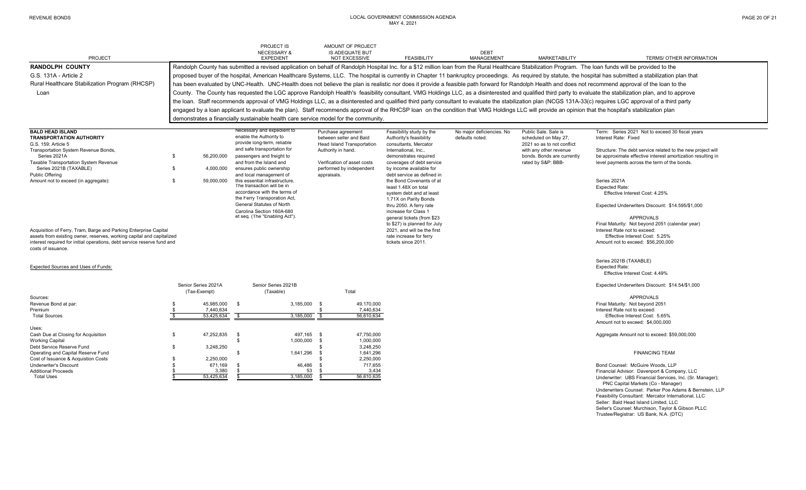| PROJECT                                                                                                                                                                                                                                    |                                       | PROJECT IS<br><b>NECESSARY &amp;</b><br><b>EXPEDIENT</b>                                                                                                                                                       | AMOUNT OF PROJECT<br><b>IS ADEQUATE BUT</b><br><b>NOT EXCESSIVE</b>                                      | <b>FEASIBILITY</b>                                                                                                                  | <b>DEBT</b><br><b>MANAGEMENT</b>             | <b>MARKETABILITY</b>                                                                                 | TERMS/ OTHER INFORMATION                                                                                                                                                                                |  |  |  |  |  |  |
|--------------------------------------------------------------------------------------------------------------------------------------------------------------------------------------------------------------------------------------------|---------------------------------------|----------------------------------------------------------------------------------------------------------------------------------------------------------------------------------------------------------------|----------------------------------------------------------------------------------------------------------|-------------------------------------------------------------------------------------------------------------------------------------|----------------------------------------------|------------------------------------------------------------------------------------------------------|---------------------------------------------------------------------------------------------------------------------------------------------------------------------------------------------------------|--|--|--|--|--|--|
| <b>RANDOLPH COUNTY</b>                                                                                                                                                                                                                     |                                       |                                                                                                                                                                                                                |                                                                                                          |                                                                                                                                     |                                              |                                                                                                      | Randolph County has submitted a revised application on behalf of Randolph Hospital Inc. for a \$12 million loan from the Rural Healthcare Stabilization Program. The loan funds will be provided to the |  |  |  |  |  |  |
| G.S. 131A - Article 2                                                                                                                                                                                                                      |                                       | proposed buyer of the hospital, American Healthcare Systems, LLC. The hospital is currently in Chapter 11 bankruptcy proceedings. As required by statute, the hospital has submitted a stabilization plan that |                                                                                                          |                                                                                                                                     |                                              |                                                                                                      |                                                                                                                                                                                                         |  |  |  |  |  |  |
| Rural Healthcare Stabilization Program (RHCSP)                                                                                                                                                                                             |                                       | has been evaluated by UNC-Health. UNC-Health does not believe the plan is realistic nor does it provide a feasible path forward for Randolph Health and does not recommend approval of the loan to the         |                                                                                                          |                                                                                                                                     |                                              |                                                                                                      |                                                                                                                                                                                                         |  |  |  |  |  |  |
| Loan                                                                                                                                                                                                                                       |                                       | County. The County has requested the LGC approve Randolph Health's feasibility consultant, VMG Holdings LLC, as a disinterested and qualified third party to evaluate the stabilization plan, and to approve   |                                                                                                          |                                                                                                                                     |                                              |                                                                                                      |                                                                                                                                                                                                         |  |  |  |  |  |  |
|                                                                                                                                                                                                                                            |                                       | the loan. Staff recommends approval of VMG Holdings LLC, as a disinterested and qualified third party consultant to evaluate the stabilization plan (NCGS 131A-33(c) requires LGC approval of a third party    |                                                                                                          |                                                                                                                                     |                                              |                                                                                                      |                                                                                                                                                                                                         |  |  |  |  |  |  |
|                                                                                                                                                                                                                                            |                                       | engaged by a loan applicant to evaluate the plan). Staff recommends approval of the RHCSP loan on the condition that VMG Holdings LLC will provide an opinion that the hospital's stabilization plan           |                                                                                                          |                                                                                                                                     |                                              |                                                                                                      |                                                                                                                                                                                                         |  |  |  |  |  |  |
|                                                                                                                                                                                                                                            |                                       | demonstrates a financially sustainable health care service model for the community.                                                                                                                            |                                                                                                          |                                                                                                                                     |                                              |                                                                                                      |                                                                                                                                                                                                         |  |  |  |  |  |  |
|                                                                                                                                                                                                                                            |                                       |                                                                                                                                                                                                                |                                                                                                          |                                                                                                                                     |                                              |                                                                                                      |                                                                                                                                                                                                         |  |  |  |  |  |  |
| <b>BALD HEAD ISLAND</b><br><b>TRANSPORTATION AUTHORITY</b><br>G.S. 159: Article 5<br>Transportation System Revenue Bonds,                                                                                                                  |                                       | Necessary and expedient to<br>enable the Authority to<br>provide long-term, reliable<br>and safe transportation for                                                                                            | Purchase agreement<br>between seller and Bald<br><b>Head Island Transportation</b><br>Authority in hand. | Feasibility study by the<br>Authority's feasibility<br>consultants, Mercator<br>International, Inc                                  | No major deficiencies. No<br>defaults noted. | Public Sale, Sale is<br>scheduled on May 27,<br>2021 so as to not conflict<br>with any other revenue | Term: Series 2021 Not to exceed 30 fiscal years<br>Interest Rate: Fixed<br>Structure: The debt service related to the new project will                                                                  |  |  |  |  |  |  |
| Series 2021A                                                                                                                                                                                                                               | 56.200.000<br>\$                      | passengers and freight to                                                                                                                                                                                      |                                                                                                          | demonstrates required                                                                                                               |                                              | bonds. Bonds are currently                                                                           | be approximate effective interest amortization resulting in                                                                                                                                             |  |  |  |  |  |  |
| Taxable Transportation System Revenue                                                                                                                                                                                                      |                                       | and from the Island and                                                                                                                                                                                        | Verification of asset costs                                                                              | coverages of debt service                                                                                                           |                                              | rated by S&P: BBB-                                                                                   | level payments across the term of the bonds.                                                                                                                                                            |  |  |  |  |  |  |
| Series 2021B (TAXABLE)                                                                                                                                                                                                                     | 4,000,000<br>- \$                     | ensures public ownership                                                                                                                                                                                       | performed by independent                                                                                 | by income available for                                                                                                             |                                              |                                                                                                      |                                                                                                                                                                                                         |  |  |  |  |  |  |
| <b>Public Offering</b><br>Amount not to exceed (in aggregate):                                                                                                                                                                             | 59.000.000<br>- \$                    | and local management of<br>this essential infrastructure.<br>The transaction will be in<br>accordance with the terms of<br>the Ferry Transporation Act,<br>General Statutes of North                           | appraisals.                                                                                              | debt service as defined in<br>the Bond Covenants of at<br>least 1.48X on total<br>system debt and at least<br>1.71X on Parity Bonds |                                              |                                                                                                      | Series 2021A<br><b>Expected Rate:</b><br>Effective Interest Cost: 4.25%                                                                                                                                 |  |  |  |  |  |  |
|                                                                                                                                                                                                                                            |                                       | Carolina Section 160A-680<br>et seq. (The "Enabling Act").                                                                                                                                                     |                                                                                                          | thru 2050. A ferry rate<br>increase for Class 1<br>general tickets (from \$23<br>to \$27) is planned for July                       |                                              |                                                                                                      | Expected Underwriters Discount: \$14.595/\$1,000<br>APPROVALS<br>Final Maturity: Not beyond 2051 (calendar year)                                                                                        |  |  |  |  |  |  |
| Acquisition of Ferry, Tram, Barge and Parking Enterprise Capital<br>assets from existing owner, reserves, working capital and capitalized<br>interest required for initial operations, debt service reserve fund and<br>costs of issuance. |                                       |                                                                                                                                                                                                                |                                                                                                          | 2021, and will be the first<br>rate increase for ferry<br>tickets since 2011.                                                       |                                              |                                                                                                      | Interest Rate not to exceed:<br>Effective Interest Cost: 5.25%<br>Amount not to exceed: \$56,200,000                                                                                                    |  |  |  |  |  |  |
| Expected Sources and Uses of Funds:                                                                                                                                                                                                        |                                       |                                                                                                                                                                                                                |                                                                                                          |                                                                                                                                     |                                              |                                                                                                      | Series 2021B (TAXABLE)<br><b>Expected Rate:</b><br>Effective Interest Cost: 4.49%                                                                                                                       |  |  |  |  |  |  |
|                                                                                                                                                                                                                                            | Senior Series 2021A<br>$(Tay-Fyamnt)$ | Senior Series 2021B<br>(Tayahla)                                                                                                                                                                               | Total                                                                                                    |                                                                                                                                     |                                              |                                                                                                      | Expected Underwriters Discount: \$14.54/\$1,000                                                                                                                                                         |  |  |  |  |  |  |

|                                     | (Tax-Exempt) | (Taxable)    | Total      |                                                |
|-------------------------------------|--------------|--------------|------------|------------------------------------------------|
| Sources:                            |              |              |            | APPROVALS                                      |
| Revenue Bond at par:                | 45.985.000   | 3,185,000 \$ | 49.170.000 | Final Maturity: Not beyond 2051                |
| Premium                             | 7,440,634    |              | 7.440.634  | Interest Rate not to exceed:                   |
| <b>Total Sources</b>                | 53,425,634   | 3,185,000    | 56,610,634 | Effective Interest Cost: 5.65%                 |
|                                     |              |              |            | Amount not to exceed: \$4,000,000              |
| Uses:                               |              |              |            |                                                |
| Cash Due at Closing for Acquisition | 47,252,835   | 497.165 \$   | 47.750.000 | Aggregate Amount not to exceed: \$59,000,000   |
| <b>Working Capital</b>              |              | 1,000,000 \$ | 1,000,000  |                                                |
| Debt Service Reserve Fund           | 3,248,250    |              | 3,248,250  |                                                |
| Operating and Capital Reserve Fund  |              | 1.641.296 \$ | 1,641,296  | <b>FINANCING TEAM</b>                          |
| Cost of Issuance & Acquistion Costs | 2,250,000    |              | 2,250,000  |                                                |
| <b>Underwriter's Discount</b>       | 671.169      | 46,486 :     | 717,655    | Bond Counsel: McGuire Woods, LLP               |
| <b>Additional Proceeds</b>          | 3.380        | 53           | 3,434      | Financial Advisor: Davenport & Company, LLC    |
| Total Uses                          | 53,425,634   | 3,185,000    | 56.610.635 | Underwriter: UBS Financial Services, Inc. (Sr. |

Bond Counsel: McGuire Woods, LLP Financial Advisor: Davenport & Company, LLC s 53,425,634 <u>\$ 53,425,634 \$ 3,185,000 \$ 56,610,635 56,610,635 Underwriter: UBS Financial Services, Inc. (Sr. Manager);<br>PNC Capital Markets (Co - Manager)<br>Underwriters Counsel: Parker Poe Adams & Bernstein, LLP</u> Feasibility Consultant: Mercator International, LLC Seller: Bald Head Island Limited, LLC Seller's Counsel: Murchison, Taylor & Gibson PLLC Trustee/Registrar: US Bank, N.A. (DTC)